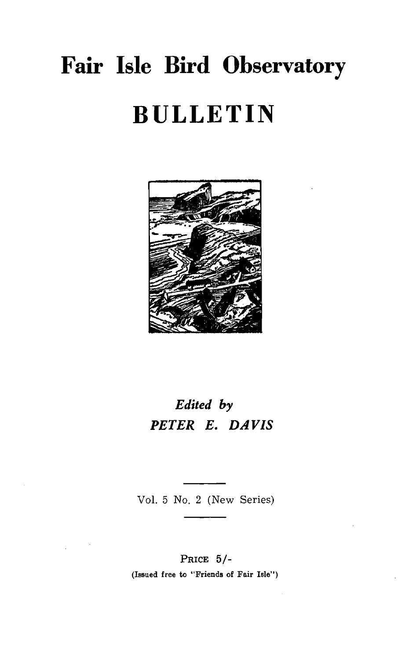# **Fair Isle Bird Observatory BULLETIN**



## *Edited by PETER E. DAVIS*

Vo!. 5 No. 2 (New Series)

#### PRICE 5/-

(Issued free to "Friends of Fair Isle")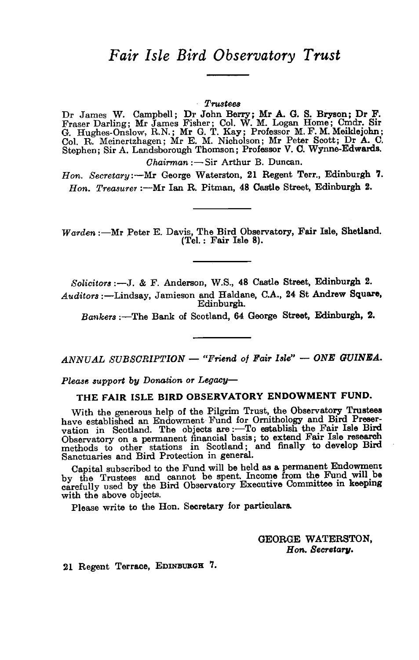### *Fair Isle Bird Observatory Trust*

#### *Trustees*

Dr James W. Campbell; Dr John Berry; Mr A. G. S. Bryson; Dr F. Fraser Darling; Mr James Fisher; Col. W. M. Logan Home; Cmdr. Sir G. Hughes-Onslow, R.N.; Mr G. T. Kay; Professor M. F. M. Meiklejohn; Col. R. Meinertzhagen; Mr E. M. Nicholson; Mr Peter Scott; Dr A. C. Stephen; Sir A. Landsborough Thomson; Professor V. C. Wynne-Edwards.

*Ohairman :- Sir Arthur B. Duncan.* 

*Hon. Secretary:-Mr* George Waterston, 21 Regent Terr., Edinburgh 7. Hon. Treasurer :- Mr Ian R. Pitman, 48 Castle Street, Edinburgh 2.

*Warden* :- Mr Peter E. Davis, The Bird Observatory, Fair Isle, Shetland. (Tel.: Fair Isle 8).

*Solicitors* :-J. & F. Anderson, W.S., 48 Castle Street, Edinburgh 2.

*Auditors* :-Lindsay, Jamieson and Haldane, C.A., 24 St Andrew Square, Edinburgh.

*Bankers* :-The Bank of Scotland, 64 George Street, Edinburgh, 2.

*ANNUAL SUBSORIPTION* - *"Friend 0/ Fair Isle"* - *ONE GUINEA.* 

Please support by Donation or Legacy-

#### THE FAIR ISLE BIRD OBSERVATORY ENDOWMENT FUND.

With the generous help of the Pilgrim Trust, the Observatory Trustees have established an Endowment Fund for Ornithology and Bird Preservation in Scotland. The objects are :- To establish the Fair Isle Bird Observatory on a permanent financial basis; to extend Fair Isle research methods to other stations in Scotland; and finally to develop Bird Sanctuaries and Bird Protection in general.

Capital subscribed to the Fund will be held as a permanent Endowment by the Trustees and cannot be spent. Income from the Fund will be carefully used by the Bird Observatory Executive Committee in keeping with the above objects.

Please write to the Hon. Secretary for particulars.

GEORGE WATERSTON, Hon. Secretary.

21 Regent Terrace, EDINBURGH 7.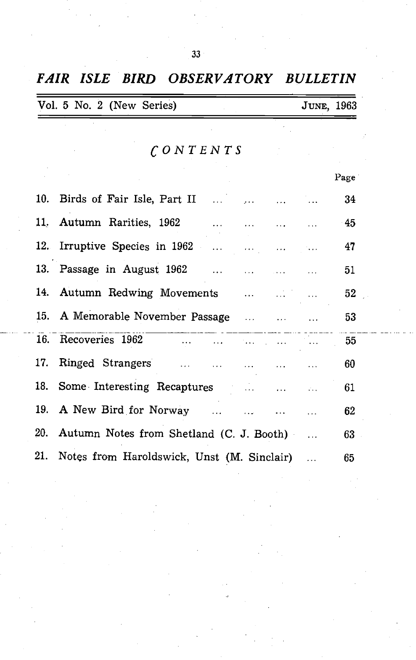|     | Vol. 5 No. 2 (New Series)                  | JUNE, 1963 |      |
|-----|--------------------------------------------|------------|------|
|     | $\bigcap$ ONTENTS                          |            |      |
|     |                                            |            |      |
|     |                                            |            | Page |
| 10. | Birds of Fair Isle, Part II                |            | 34   |
| 11. | Autumn Rarities, 1962                      |            | -45  |
| 12. | Irruptive Species in 1962<br>.<br>$\cdots$ |            | 47   |
|     | 13. Passage in August 1962                 |            | 51   |
| 14. | Autumn Redwing Movements<br>$\ddotsc$      |            | 52   |
| 15. | A Memorable November Passage<br>$\ldots$   |            | 53   |
|     | 16. Recoveries 1962<br>$\cdots$            |            | 55   |
| 17. | Ringed Strangers                           |            | 60   |
| 18. | Some Interesting Recaptures                |            | 61   |
| 19. | A New Bird for Norway                      |            | 62   |
| 20. | Autumn Notes from Shetland (C. J. Booth)   |            | 63   |
| 21. | Notes from Haroldswick, Unst (M. Sinclair) |            | 65   |

*FAIR ISLE BIRD OBSERVATORY BULLETIN* 

33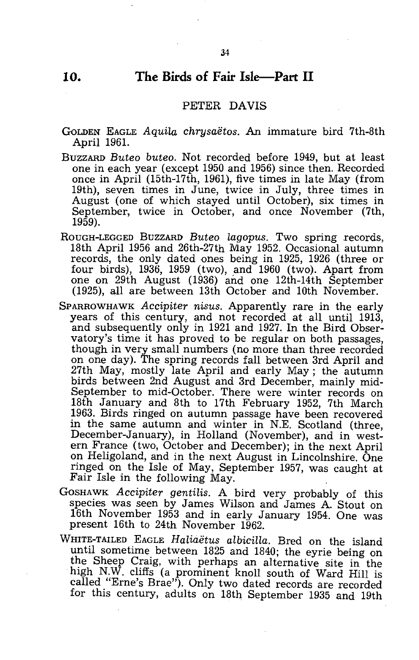#### **10. The Birds of Fair Isle-Part 11**

#### PETER DAVIS

- GOLDEN EAGLE *Aquila chrysaetos.* An immature bird 7th-8th April 196!.
- BUZZARD *Buteo buteo.* Not recorded before 1949, but at least one in each year (except 1950 and 1956) since then. Recorded once in April (15th-17th, 1961), five times in late May (from 19th), seven times in June, twice in July, three times in August (one of which stayed until October), six times in September, twice in October, and once November (7th, 1959).
- ROUGH-LEGGED BUZZARD Buteo lagopus. Two spring records, 18th April 1956 and 26th-27th May 1952. Occasional autumn records, the only dated ones being in 1925, 1926 (three or four birds), 1936, 1959 (two), and 1960 (two). Apart from one on 29th August (1936) and one 12th-14th September (1925), all are between 13th October and 10th November.
- SPARROWHAWK *Accipiter nisus.* Apparently rare in the early years of this century, and not recorded at all until 1913, and subsequently only in 1921 and 1927. In the Bird Observatory's time it has proved to be regular on both passages, though *in* very small numbers (no more than three recorded on one day). The spring records fall between 3rd April and 27th May, mostly late April and early May; the autumn birds between 2nd August and 3rd December, mainly mid-September to mid-October. There were winter records on 18th January and 8th to 17th February 1952, 7th March 1963. Birds ringed on autumn passage have been recovered in the same autumn and winter in N.E. Scotland (three, December-January), *in* Holland (November), and in western Frahce (two, October and December); *in* the next April on Heligoland, and in the next August in Lincolnshire. One ringed on the Isle of May, September 1957, was caught at Fair Isle in the following May.
- GoSHAWK *Accipiter gentilis.* A bird very probably of this species was seen by James Wilson and James A. Stout on 16th November 1953 and *in* early January 1954. One was present 16th to 24th November 1962.
- WHITE-TAILED EAGLE *Haliaetus albicilla.* Bred on the island until sometime between 1825 and 1840; the eyrie being on the Sheep Craig, with perhaps an alternative site in the high N.W. cliffs (a prominent knoll south of Ward Hill is called "Erne's Brae"). Only two dated records are recorded for this century, adults on 18th September 1935 and 19th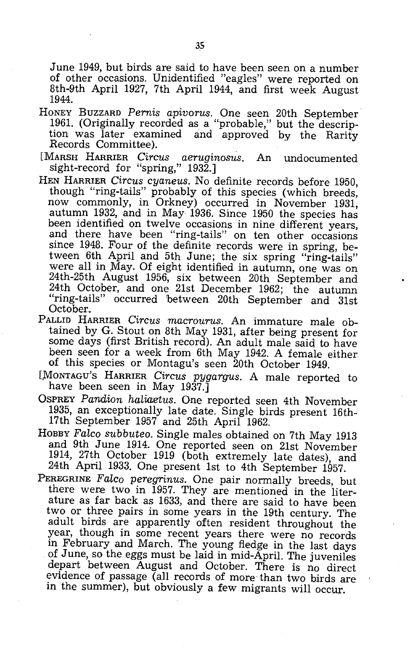June 1949, but birds are said to have been seen on a number of other occasions. Unidentified "eagles" were reported on 8th-9th April 1927, 7th April 1944, and first week August 1944.

- HONEY BUZZARD *Pernis apivorus.* One seen 20th September 1961. (Originally recorded as a "probable," but the description was later examined and approved by the Rarity Records Committee).
- [MARSH HARRIER *Circus aeruginosus.* An undocumented sight-record for "spring," 1932.]
- HEN HARRIER *Circus cyaneus.* No definite records before 1950, though "ring-tails" probably of this species (which breeds, now commonly, in Orkney) occurred in November 1931, autumn 1932, and in May 1936. Since 1950 the species has been identified on twelve occasions in nine different years, and there have been "ring-tails" on ten other occasions since 1948. Four of the definite records were in spring, between 6th April and 5th June; the six spring "ring-tails" were all in May. Of eight identified in autumn, one was on 24th-25th August 1956, six between 20th September and 24th October, and one 21st December 1962; the autumn "ring-tails" occurred between 20th September and 31st October.
- PALLID HARRIER *Circus macrourus.* An immature male obtained by G. Stout on 8th May 1931, after being present for some days (first British record). An adult male said to have been seen for a week from 6th May 1942. A female either of this species or Montagu's seen 20th October 1949.
- LMoNTAGU'S HARRIER *Circus pygargus.* A male reported to have been seen in May 1937.]
- OSPREY Pandion haliaetus. One reported seen 4th November 1935, an exceptionally late date. Single birds present 16th-17th September 1957 and 25th April 1962.
- HOBBY Falco subbuteo. Single males obtained on 7th May 1913 and 9th June 1914. One reported seen on 21st November 1914, 27th October 1919 (both extremely late dates), and 24th April 1933. One present 1st to 4th September 1957.
- PEREGRINE *FaLco peregrinus.* One pair normally breeds, but there were two in 1957. They are mentioned in the literature as far back as 1633, and there are said to have been two or three pairs in some years in the 19th century. The adult birds are apparently often resident throughout the year, though in some recent years there were no records in February and March. The young fledge in the last days of June, so the eggs must be laid in mid-April. The juveniles depart between August and October. There is no direct evidence of passage (all records of more than two birds are in the summer), but obviously a few migrants will occur.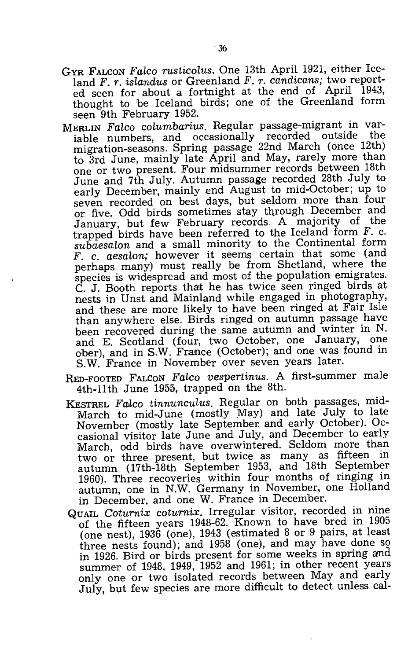- GYR FALCON *Faleo rustieolus.* One 13th April 1921, either Iceland F. *r. islandus* or Greenland F. *r. eandieans;* two reported seen for about a fortnight at the end of April 1943, thought to be Iceland birds; one of the Greenland form seen 9th February 1952.
- MERLIN *Faleo columbarius.* Regular passage-migrant in varable numbers, and occasionally recorded outside the migration-seasons. Spring passage 22nd March (once 12th) to 3rd June, mainly late April and May, rarely more than one or two present. Four midsummer records between 18th June and 7th July. Autumn passage recorded 28th July to early December, mainly end August to mid-October; up to seven recorded on best days, but seldom more than four or five. Odd birds sometimes stay through December and January, but few February records. A majority of the trapped birds have been referred to the Iceland form  $F$ . c. *subaesalon* and a small minority to the Continental form F. c. *aesalon;* however it seems certain that some (and perhaps many) must really be from Shetland, where the species is widespread and most of the population emigrates. C. J. Booth reports that he has twice seen ringed birds at nests in Unst and Mainland while engaged in photography, and these are more likely to have been ringed at Fair Isle than anywhere else. Birds ringed on autumn passage have been recovered during the same autumn and winter in N. and E. Scotland (four, two October, one January, one ober), and in S.W. France (October); and one was found in S.W. France in November over seven years later.
- RED-FOOTED FALCON *Falco vespertinus.* A first-summer male 4th-11th June 1955, trapped on the 8th.
- KESTREL *FG.llco tinnuneulus.* Regular on both passages, mid-March to mid-June (mostly May) and late July to late November (mostly late September and early October). Occasional visitor late June and July, and December to early March, odd birds have overwintered. Seldom more than two or three present, but twice as many as fifteen in autumn (17th-18th September 1953, and 18th September 1960). Three recoveries within four months of ringing in autumn, one in N.W. Germany in November, one Holland in December, and one W. France in December.
- QUAIL *Coturnix coturnix.* Irregular visitor, recorded in nine of the fifteen years 1948-62. Known to have bred in 1905 (one nest), 1936 (one), 1943 (estimated 8 or 9 pairs, at least three nests found); and 1958 (one), and may have done so in 1926. Bird or birds present for some weeks in spring and summer of 1948, 1949, 1952 and 1961; in other recent years only one or two isolated records between May and early July, but few species are more difficult to detect unless cal-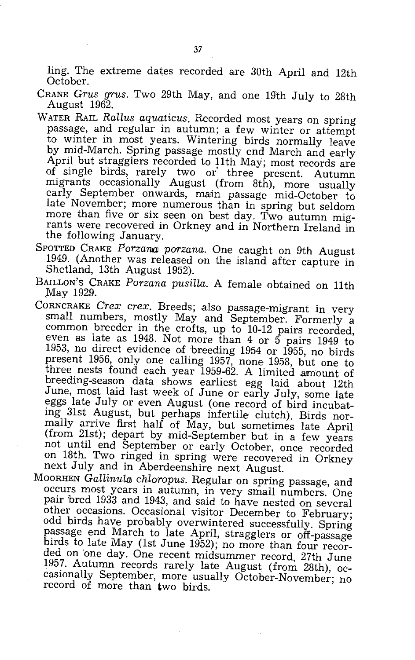ling. The extreme dates recorded are 30th April and 12th October.

- CRANE *Crus grus.* Two 29th May, and one 19th July to 28th August 1962.
- WATER RAIL *Rallus aquaticus*. Recorded most years on spring passage, and regular in autumn; a few winter or attempt to winter in most years. Wintering birds normally leave by mid-March. Spring passage mostly end March and early April but stragglers recorded to 11th May; most records are of single birds, rarely two or three present. Autumn migrants occasionally August (from 8th), more usually early September onwards, main passage mid-October to late November; more numerous than in spring but seldom more than five or six seen on best day. Two autumn migrants were recovered in Orkney and in Northern Ireland in the following January.
- SPOTTED CRAKE Porzana porzana. One caught on 9th August 1949. (Another was released on the island after capture in Shetland, 13th August 1952).
- BAILLON'S CRAKE *Porzana pusiLla.* A female obtained on 11th May 1929.
- CORNCRAKE Crex crex. Breeds; also passage-migrant in very small numbers, mostly May and September. Formerly a common breeder in the crofts, up to 10-12 pairs recorded, even as late as 1948. Not more than 4 or 5 pairs 1949 to 1953, no direct evidence of breeding 1954 or 1955, no birds present 1956, only one calling 1957, none 1958, but one to three nests found each year 1959-62. A limited amount of breeding-season data shows earliest egg laid about 12th June, most laid last week of June or early July, some late eggs late July or even August (one record of bird incubating 31st August, but perhaps infertile clutch). Birds normally arrive first half of May, but sometimes late April (from 21st); depart by mid-September but in a few years not until end September or early October, once recorded on 18th. Two ringed in spring were recovered in Orkney next July and in Aberdeenshire next August.
- MOORHEN *GallinuLai chloropus.* Regular on spring passage, and occurs most years in autumn, in very small numbers. One pair bred 1933 and 1943, and said to have nested on several other occasions. Occasional visitor December to February; odd birds have probably overwintered successfully. Spring passage end March to late April, stragglers or off-passage birds to late May (1st June 1952); no more than four recorded on 'one day. One recent midsummer record, 27th June 1957. Autumn records rarely late August (from 28th), occasionally September, more usually October-November; no record of more than two birds.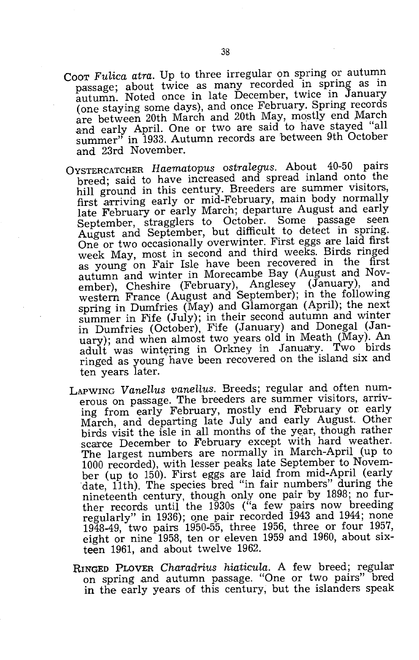- Coor Fulica atra. Up to three irregular on spring or autumn passage; about twice as many recorded in spring as in autumn. Noted once in late December, twice in January (one staying some days), and once February. Spring records are between 20th March and 20th May, mostly end March and early April. One or two are said to have stayed "all summer" in 1933. Autumn records are between 9th October and 23rd November.
- OYSTERCATCHER *Haematopus ostralegus.* About 40-50 pairs breed; said to have increased and spread inland onto the hill ground in this century. Breeders are summer visitors, first arriving early or mid-February, main body normally late February or early March; departure August and early September, stragglers to October. Some passage seen August and September, but difficult to detect in spring. One or two occasionally overwinter. First eggs are laid first week May, most in second and third weeks. Birds ringed as young on Fair Isle have been recovered in the first autumn and winter in Morecambe Bay (August and November), Cheshire (February), Anglesey (January), and western France (August and September); in the following spring in Dumfries (May) and Glamorgan (April); the next summer in Fife (July); in their second autumn and winter in Dumfries (October), Fife (January) and Donegal (January); and when almost two years old in Meath (May). An adult was wintering in Orkney in January. Two birds ringed as young have been recovered on the island six and ten years later.
- LAPWING Vanellus vanellus. Breeds; regular and often numerous on passage. The breeders are summer visitors, arriving from early February, mostly end February or early March, and departing late July and early August. Other birds visit the isle in all months of the year, though rather scarce December to February except with hard weather. The largest numbers are normally in March-April (up to 1000 recorded), with lesser peaks late September to November (up to 150). First eggs are laid from mid-April (early date, 11th). The species bred "in fair numbers" during the nineteenth century, though only one pair by 1898; no further records until the  $1930s$  ("a few pairs now breeding regularly" in 1936); qne pair recorded 1943 and 1944; none 1948-49, two pairs 1950-55, three 1956, three or four 1957 eight or nine 1958, ten or eleven 1959 and 1960, about sixteen 1961, and about twelve 1962.
- RINGED PLOVER *Charadrius hiaticula*. A few breed; regular on spring and autumn passage. "One or two pairs" bred in the early years of this century, but the islanders speak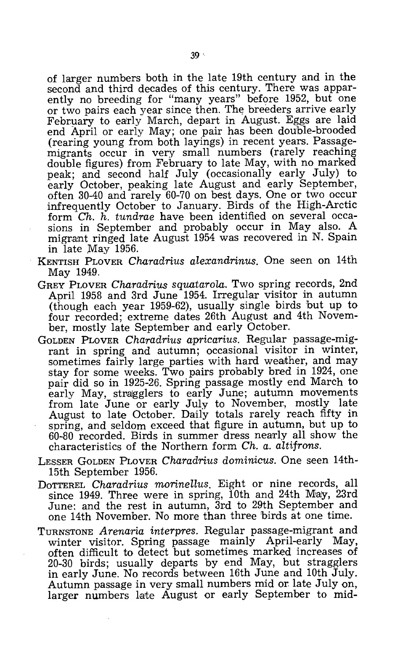of larger numbers both in the late 19th century and in the second and third decades of this century. There was apparently no breeding for "many years" before 1952, but one or two pairs each year since then. The breeders arrive early February to early March, depart in August. Eggs are laid end April or early May; one pair has been double-brooded (rearing young from both layings) in recent years. Passagemigrants occur in very small numbers (rarely reaching double figures) from February to late May, with no marked peak; and second half July (occasionally early July) to early October, peaking late August and early September, often 30-40 and rarely 60-70 on best days. One or two occur infrequently October to January. Birds of the High-Arctic form *Ch. h. tundrae* have been identified on several occasions in September and probably occur in May also. A migrant ringed late August 1954 was recovered in N. Spain in late May 1956.

- KENTISH PLOVER *Charadrius alexandrinus.* One seen on 14th May 1949.
- GREY PLOVER *Charadrius squatarola.* Two spring records, 2nd April 1958 and 3rd June 1954. Irregular visitor in autumn (though each year 1959-62), usually single birds but up to four recorded; extreme dates 26th August and 4th November, mostly late September and early October.
- GOLDEN PLOVER *Charadrius apricarius.* Regular passage-migrant in spring and autumn; occasional visitor in winter, sometimes fairly large parties with hard weather, and may stay for some weeks. Two pairs probably bred in 1924, one pair did so in 1925-26. Spring passage mostly end March to early May, stragglers to early June; autumn movements from late June or early July to November, mostly late August to late October. Daily totals rarely reach fifty in spring, and seldom exceed that figure in autumn, but up to 60-80 recorded. Birds in summer dress neaTly all show the characteristics of the Northern form *Ch. a. altifrons.*
- LESSER GOLDEN PLOVER *Charadrius dominicus.* One seen 14th-15th September 1956.
- DOTTEREL *Charadrius morinellus.* Eight or nine records, all since 1949. Three were in spring, 10th and 24th May, 23rd June: and the rest in autumn, 3rd to 29th September and one 14th November. No more than three birds at one time.
- TURNSTONE *Arenaria interpres.* Regular passage-migrant and winter visitor. Spring passage mainly April-early May, often difficult to detect but sometimes marked increases of 20-30 birds; usually departs by end May, but stragglers in early June. No records between 16th June and 10th July. Autumn passage in very small numbers mid or late July on, larger numbers late August or early September to mid-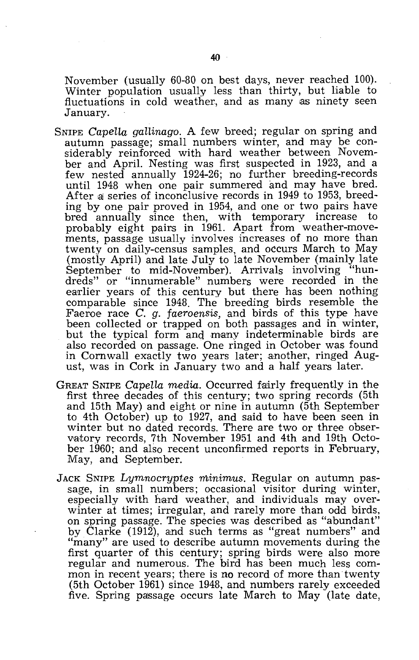November (usually 60-80 on best days, never reached 100). Winter population usually less than thirty, but liable to fluctuations in cold weather, and as many as ninety seen January.

- SNIPE *CapelLa gaHinago.* A few breed; regular on spring and autumn passage; small numbers winter, and may be considerably reinforced with hard weather between November and April. Nesting was first suspected in 1923, and a few nested annually 1924-26; no further breeding-records until 1948 when one pair summered and may have bred. After a series of inconclusive records in 1949 to 1953, breeding by one pair proved in 1954, and one or two pairs have bred annually since then, with temporary increase to probably eight pairs in 1961. Apart from weather-movements, passage usually involves increases of no more than twenty on daily-census samples, and occurs March to May (mostly April) and late July to late November (mainly late September to mid-November). Arrivals involving "hundreds" or "innumerable" numbers were recorded in the earlier years of this century but there has been nothing comparable since 1948. The breeding birds resemble the Faeroe race C. *g. faeroensis,* and birds of this type have been collected or trapped on both passages and in winter, but the typical form anq many indeterminable birds are also recorded on passage. One ringed in October was found in Cornwall exactly two years later; another, ringed August, was in Cork in January two and a half years later.
- GREAT SNIPE *Capella media.* Occurred fairly frequently in the first three decades of this century; two spring records (5th and 15th May) and eight or nine in autumn (5th September to 4th October) up to 1927, and said to have been seen in winter but no dated records. There are two or three observatory records, 7th November 1951 and 4th and 19th October 1960; and also recent unconfirmed reports in February, May, and September.
- JACK SNIPE *Lymnocryptes minimus*. Regular on autumn passage, in small numbers; occasional visitor during winter, especially with hard weather, and individuals may overwinter at times; irregular, and rarely more than odd birds, on spring passage. The species was described as "abundant" by Clarke (1912), and such terms as "great numbers" and "many" are used to describe autumn movements during the first quarter of this century; spring birds were also more regular and numerous. The bird has been much less common in recent years; there is no record of more than twenty (5th October 1961) since 1948, and numbers rarely exceeded five. Spring passage occurs late March to May (late date,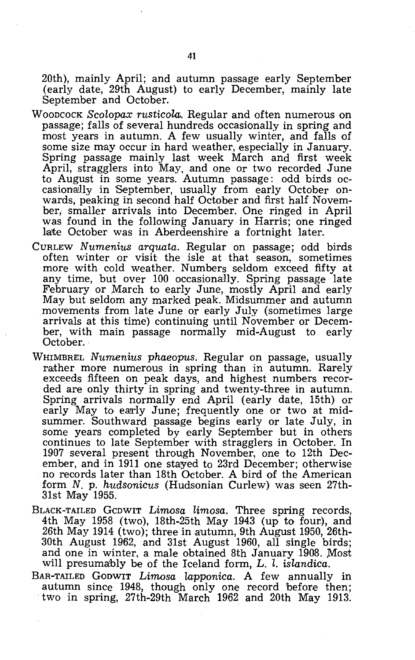20th), mainly April; and autumn passage early September (early date, 29th August) to early December, mainly late September and October.

- WOODCOCK *Scolopax rusticoLa..* Regular and often numerous on passage; falls of several hundreds occasionally in spring and most years in autumn. A few usually winter, and falls of some size may occur in hard weather, especially in January. Spring passage mainly last week March and first week April, stragglers into May, and one or two recorded June to August in some years. Autumn passage: odd birds occasionally in September, usually from early October onwards, peaking in second half October and first half November, smaller arrivals into December. One ringed in April was found in the following January in Harris; one ringed late October was in Aberdeenshire a fortnight later.
- CURLEW *Numenius arquata.* Regular on passage; odd birds often winter or visit the isle at that season, sometimes more with cold weather. Numbers seldom exceed fifty at any time, but over 100 occasionally. Spring passage late February or ,March to early June, mostly April and early May but seldom any marked peak. Midsummer and autumn movements from late June or early July (sometimes large arrivals at this time) continuing until November or December, with main passage normally mid-August to early October.
- WHIMBREL *Numenius phaeopus.* Regular on passage, usually rather more numerous in spring than in autumn. Rarely exceeds fifteen on peak days, and highest numbers recorded are only thirty in spring and twenty-three in autumn. Spring arrivals normally end April (early date, 15th) or early May to early June; frequently one or two at midsummer. Southward passage begins early or late July, in some years completed by early September but in others continues to late September with stragglers in October. In 1907 several present through November, one to 12th December, and in 1911 one stayed to 23rd December; otherwise no records later than 18th October. A bird of the American form N. p. *hudsonicus* (Hudsonian Curlew) was seen 27th-31st May 1955.
- BLACK-TAILED GCDWIT *Limosa limosa.* Three spring records, 4th May 1958 (two), 18th-25th May 1943 (up to four), and 26th May 1914 (two); three in autumn, 9th August 1950, 26th-30th August 1962, and 31st August 1960, all single birds; and one in winter, a male obtained 8th January 1908. Most will presumably be of the Iceland form, L. l. *islandica.*
- BAR-TAILED GODWIT *Limosa lapponica.* A few annually in autumn since 1948, though only one record before then; two in spring, 27th-29th March 1962 and 20th May 1913.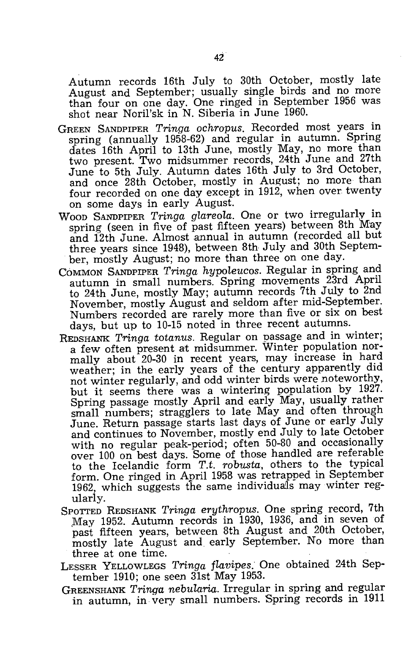Autumn records 16th July to 30th October, mostly late August and September; usually single birds and no more than four on one day. One ringed in September 1956 was shot near Noril'sk in N. Siberia in June 1960.

- GREEN SANDPIPER *Tringa ochropus.* Recorded most years in spring (annually 1958-62) and regular in autumn. Spring dates 16th April to 13th June, mostly May, no more than two present. Two midsummer records, 24th June and 27th June to 5th July. Autumn dates 16th July to 3rd October, and once 28th October, mostly in August; no more than four recorded on one day except in 1912, when over twenty on some days in early August.
- WOOD SANDPIPER *Tringa glareola.* One or two irregularly in spring (seen in five of past fifteen years) between 8th May and 12th June. Almost annual in autumn (recorded all but three years since 1948), between 8th July and 30th September, mostly August; no more than three on one day.
- COMMON SANDPIPER *Tringa hypoleucos.* Regular in spring and autumn in small numbers. Spring movements 23rd April to 24th June, mostly May; autumn records 7th July to 2nd November, mostly August and seldom after mid-September. Numbers recorded are rarely more than five or six on best days, but up to 10-15 noted in three recent autumns.
- REDSHANK *Tringa totanus.* Regular on passage and in winter; a few often present at midsummer. Winter population normally about 20-30 in recent years, may increase in hard weather; in the early years of the century apparently did not winter regularly, and odd winter birds were noteworthy, but it seems there was a wintering population by 1927. Spring passage mostly April and early May, usually rather small numbers; stragglers to late May and often through June. Return passage starts last days of June or early July and continues to November, mostly end July to late October with no regular peak-period; often 50-80 and occasionally over 100 on best days. Some of those handled are referable to the Icelandic form *T.t. robusta,* others to the typical form. One ringed in April 1958 was retrapped in September 1962, which suggests the same individuals may winter regularly.
- SPOTTED REDSHANK *Tringa erythropus.* One spring record, 7th May 1952. Autumn records in 1930, 1936, and in seven of past fifteen years, between 8th August and 20th October, mostly late August and, early September. No more than three at one time.
- LESSER YELLOWLEGS *Tringa flavipes.* One obtained 24th September 1910; one seen 31st May 1953.
- GREENSHANK *Tringa nebularia.* Irregular in spring and regular in autumn, in very small numbers. Spring records in 1911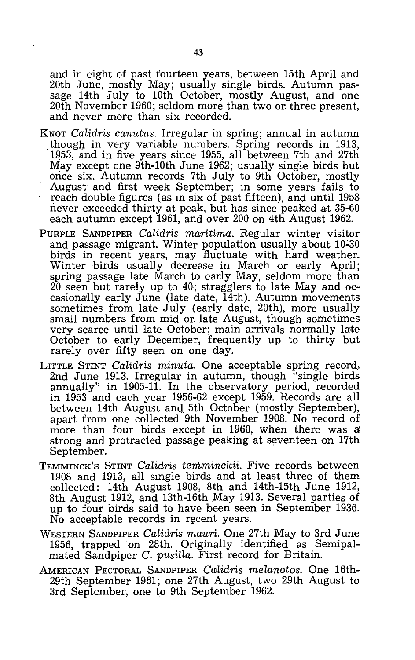and in eight of past fourteen years, between 15th April and 20th June, mostly May; usually single birds. Autumn passage 14th July to 10th October, mostly August, and one 20th November 1960; seldom more than two or three present, and never more than six recorded.

- KNOT *Calidris canutus.* Irregular in spring; annual in autumn though in very variable numbers. Spring records in 1913, 1953, and in five years since 1955, all between 7th and 27th May except one 9th-10th June 1962; usually single birds but once six. Autumn records 7th July to 9th October, mostly August and first week September; in some years fails to reach double figures (as in six of past fifteen), and until 1958 never exceeded thirty at peak, but has since peaked at 35-60 each autumn except 1961, and over 200 on 4th August 1962.
- PURPLE SANDPIPER *Calidris maritima.* Regular winter visitor and passage migrant. Winter population usually about  $10-30$ birds in recent years, may fluctuate with hard weather. Winter birds usually decrease in March or early April; spring passage late March to early May, seldom more than 20 seen but rarely up to 40; stragglers to late May and occasionally early June (late date, 14th). Autumn movements sometimes from late July (early date, 20th), more usually small numbers from mid or. late August, though sometimes very scarce until late October; main arrivals normally late October to early December, frequently up to thirty but rarely over fifty seen on one day.
- LITTLE STINT *Calidris minuta.* One acceptable spring record, 2nd June 1913. Irregular in autumn, though "single birds annually" in 1905-11. In the observatory period, recorded in 1953 and each year. 1956-62 except 1959. Records are all between 14th August and 5th October (mostly September), apart from one collected 9th November 1908. No record of more than four birds except in 1960, when there was a strong and protracted passage peaking at seventeen on 17th September.
- TEMMINCK'S STINT *Calidris temminckii.* Five records between 1908 and 1913, all single birds and at least three of them collected: 14th August 1908, 8th and 14th-15th June 1912, 8th August 1912, and 13th-16th May 1913. Several parties of up to four birds said to have been seen in September 1936. No acceptable records in recent years.
- WESTERN SANDPIPER *Calidris mauri.* One 27th May to 3rd June 1956, trapped on 28th. Originally identified as Semipalmated Sandpiper C. *pusilla.* First record for Britain.
- AMERICAN PECTORAL SANDPIPER *CC1Jlidris melanotos.* One 16th-29th September 1961; one 27th August, two 29th August to 3rd September, one to 9th September 1962.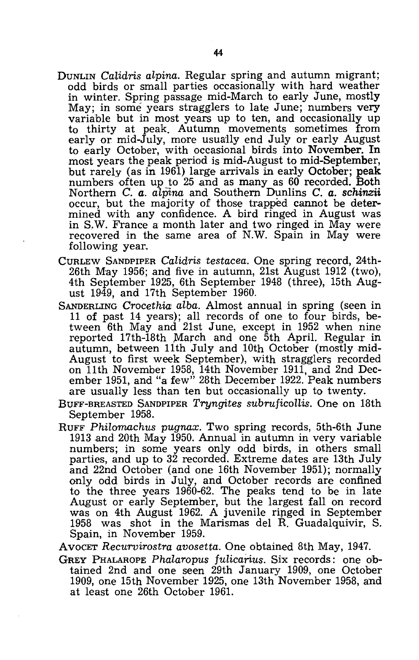- DUNLIN *Calidris alpina.* Regular spring and autumn migrant; odd birds or small parties occasionally with hard weather in winter. Spring passage mid-March to early June, mostly May; in some years stragglers to late June; numbers very variable but in most years up to ten, and occasionally up to thirty at peak. Autumn movements sometimes from early or mid-July, more usually end July or early August to early October, with occasional birds into November. **In**  most years the peak period is mid-August to mid-September, but rarely (as in 1961) large arrivals in early October; peak numbers often up to 25 and as many as 60 recorded. Both Northern C. *a. alpina* and Southern Dunlins C. *a. schinzii*  occur, but the majority of those trapped cannot be determined with any confidence. A bird ringed in August was in S.W. France a month later and two ringed in May were recovered in the same area of N.W. Spain in May were following year.
- CURLEW SANDPIPER *Calidris testacea.* One spring record, 24th-26th May 1956; and five in autumn, 21st August 1912 (two), 4th September 1925, 6th September 1948 (three), 15th August 1949, and 17th September 1960.
- SANDERLING *Crocethia alba.* Almost annual in spring (seen in 11 of past 14 years); all records of one to four birds, between 6th May and 21st June, except in 1952 when nine reported 17th-18th March and one 5th April. Regular in autumn, between 11th July and 10th October (mostly mid-August to first week September), with stragglers recorded on 11th November 1958, 14th November 1911, and 2nd December 1951, and "a few" 28th December 1922. Peak numbers are usually less than ten but occasionally up to twenty.
- BUFF-BREASTED SANDPIPER *Tryngites subruficollis.* One on 18th September 1958.
- RUFF *Philomachus pugnax.* Two spring records, 5th-6th June 1913 and 20th May 1950. Annual in autumn in very variable numbers; in some years only odd birds, in others small parties, and up to 32 recorded. Extreme dates are 13th July and 22nd October (and one 16th November 1951); normally only odd birds in July, and October records are confined to the three years 1960-62. The peaks tend to be in late August or early September, but the largest fall on record was on 4th August 1962. A juvenile ripged in September 1958 was shot in the Marismas del R. Guadalquivir, S. Spain, in November 1959.
- AVOCET *Recurvirostra avosetta.* One obtained 8th May, 1947.
- GREY PHALAROPE *Phalaropus fulicarius*. Six records: one obtained 2nd and one seen 29th January 1909, one October 1909, one 15th November 1925, one 13th November 1958, and at least one 26th October 1961.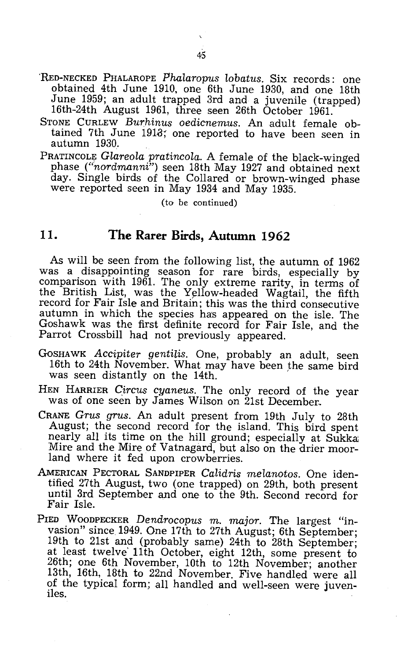- 'RED-NECKED PHALAROPE *Phalaropus lobatus.* Six records: one obtained 4th June 1910, one 6th June 1930, and one 18th June 1959; an adult trapped 3rd and a juvenile (trapped) 16th-24th August 1961, three seen 26th October 1961.
- STONE CURLEW *Burhinus oedicnemus*. An adult female obtained 7th June 1918; one reported to have been seen in autumn 1930.
- PRATINCOLE *Glareola pratincola.* A female of the black-winged phase *("nordmanni")* seen 18th May 1927 and obtained next day. Single birds of the Collared or brown-winged phase were reported seen in May 1934 and May 1935.

(to be continued)

#### **11. The Rarer Birds, Autumn 1962**

As will be seen from the following list, the autumn of 1962 was a disappointing season for rare birds, especially by comparison with 1961. The only extreme rarity, in terms of the British List, was the Yellow-headed Wagtail, the fifth record for Fair Isle and Britain; this was the third consecutive autumn in which the species has appeared on the isle. The Goshawk was the first definite record for Fair Isle, and the Parrot Crossbill had not previously appeared.

- GOSHAWK *ACCipiter gentiLis.* One, probably an adult, seen 16th to 24th November. What may have been the same bird was seen distantly on the 14th.
- HEN HARRIER *Circus cyaneus.* The only record of the year was of one seen by James Wilson on 21st December..
- CRANE *Grus grus.* An adult present from 19th July to 28th August; the second record for the island. This bird spent nearly all its time on the hill ground; especially at Sukka: Mire and the Mire of Vatnagard, but also on the drier moorland where it fed upon crowberries.
- AMERICAN PECTORAL SANDPIPER *Calidris meLanotos.* One identified 27th August, two (one trapped) on 29th, both present until 3rd September and one to the 9th. Second record for Fair Isle.
- PIED WOODPECKER *Dendrocopus* m. *major.* The largest "invasion" since 1949. One 17th to 27th August; 6th September; 19th to 21st and (probably same) 24th to 28th September; at least twelve' 11th October, eight 12th, some present to 26th; one 6th November, 10th to 12th November.; another 13th, 16th, 18th to 22nd November. Five handled were all of the typical form; all handled and well-seen were juveniles.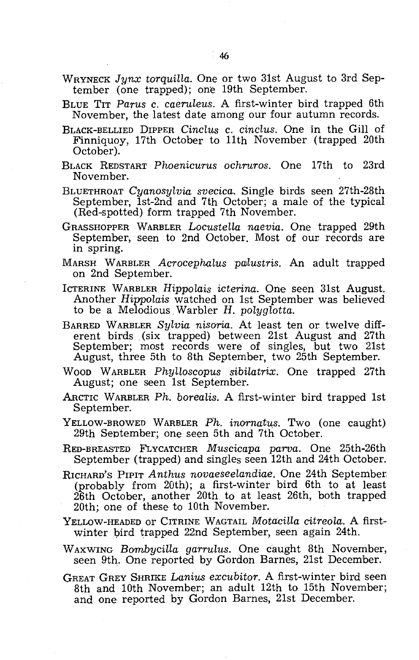- WRYNECK *Jynx torquilla.* One or two 31st August to 3rd September (one trapped); one 19th September.
- BLUE TIT *Parus* c. *caeruleus.* A first-winter bird trapped 6th November, the latest date among our four autumn records.
- BLACK-BELLIED DIPPER *Cinclus* c. *cinclus.* One in the Gill of Finniquoy, 17th October to 11th November (trapped 20th October).
- BLACK REDSTART *Phoenicurus ochruros.* One 17th to 23rd November.
- BLUETHROAT *Cyanosylvia svecica.* Single birds seen 27th-28th September, 1st-2nd and 7th October; a male of the typical (Red-spotted) form trapped 7th November.
- GRASSHOPPER WARBLER *Locustella naevia.* One trapped 29th September, seen to 2nd October. Most of our records are in spring.
- MARSH WARBLER *Acrocephalus PQJlustris.* An adult trapped on 2nd September.
- ICTERINE WARBLER *Hippolais icterina.* One seen 31st August. Another *Hippolais* watched on 1st September was believed to be a Melodious. Warbler *H. polyglotta.*
- BARRED WARBLER *Sylvia nisoria.* At least ten or twelve different birds (six trapped) between 21st August and 27th September; most records were of singles, but two 21st August, three 5th to 8th September, two 25th September.
- WOOD WARBLER *Phylloscopus sibilatrix.* One trapped 27th August; one seen 1st September.
- ARCTIC WARBLER *Ph. boreaLis.* A first-winter bird trapped 1st September.
- YELLOW-BROWED WARBLER *Ph. inornatus.* Two (one caught) 29th September; one seen 5th and 7th October.
- RED-BREASTED FLYCATCHER *Muscicapa parva.* One 25th-26th September (trapped) and singles seen 12th and 24th October.
- RICHARD'S PIPIT *Anthus novaeseelandiae.* One 24th September (probably from 20th); a first-winter bird 6th to at least 26th October, another 20th to at least 26th, both trapped 20th; one of these to 10th November.
- YELLOW-HEADED OF CITRINE WAGTAIL *Motacilla citreola*. A firstwinter bird trapped 22nd September, seen again 24th.
- WAXWING *BombyciHa garrulus.* One caught 8th November, seen 9th. One reported by Gordon Barnes, 21st December.
- GREAT GREY SHRIKE *Lanius excubitor.* A first-winter bird seen 8th and 10th November; an adult 12th to 15th November; and one reported by Gordon Barnes, 21st December.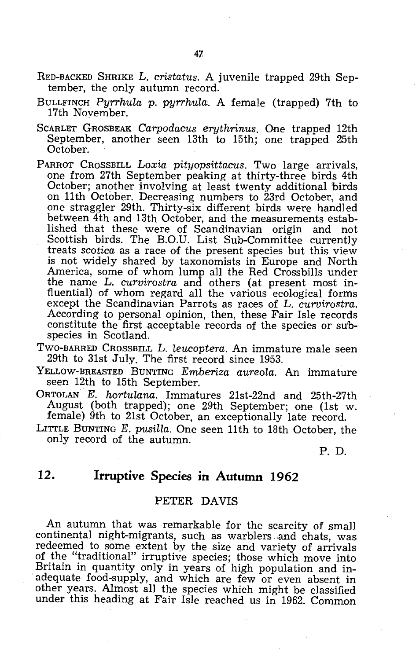- RED-BACKED SHRIKE L. *cristatus.* A juvenile trapped 29th September, the only autumn record.
- BULLFINCH *Pyrrhula* p. *pyrrhula.* A female (trapped) 7th to 17th Noyember.
- SCARLET GROSBEAK *Carpodacus erythrinus.* One trapped 12th September, another seen 13th to 15th; one trapped 25th October.
- PARROT CROSSBILL *Loxia pityopsittacus.* Two large arrivals, one from 27th September peaking at thirty-three birds 4th October; another involving at least twenty additional birds on 11th October. Decreasing numbers to 23rd October, and one straggler 29th. Thirty-six different birds were handled between 4th and 13th October, and the measurements established that these were of Scandinavian origin and not Scottish birds. The B.O.U. List Sub-Committee currently treats *scotica* as a race of the present species but this view is not widely shared by taxonomists in Europe and North America, some of whom lump all the Red Crossbills under the name L. *curvirostra* and others (at present most influential) of whom regard all the various ecological forms except the Scandinavian Parrots as races of L. *curvirostra.*  According to personal opinion, then, these Fair Isle records constitute the first acceptable records of the species or subspecies in Scotland.
- TWO-BARRED CROSSBILL L. *leucoptera.* An immature male seen 29th to 31st July. The first record since 1953.
- YELLOW-BREASTED BUNTING *Emberiza aureola.* An immature seen 12th to 15th September.
- ORTOLAN *E. hortulana.* Immatures 21st-22nd and 25th-27th August (both trapped); one 29th September; one (1st w. female) 9th to 21st October, an exceptionally late record.
- LITTLE BUNTING E. *pusilla.* One seen 11th to 18th October, the only record of the autumn.

P. D.

### **12. Irruptive Species in Autumn 1962**

#### PETER DAVIS

An autumn that was remarkable for the scarcity of small continental night-migrants, such as warblers and chats, was redeemed to some extent by the size and variety of arrivals of the "traditional" irruptive species; those which move into Britain in quantity only in years of high population and inadequate food-supply, and which are few or even absent in other years. Almost all the species which might be classified under this heading at Fair Isle reached us in 1962. Common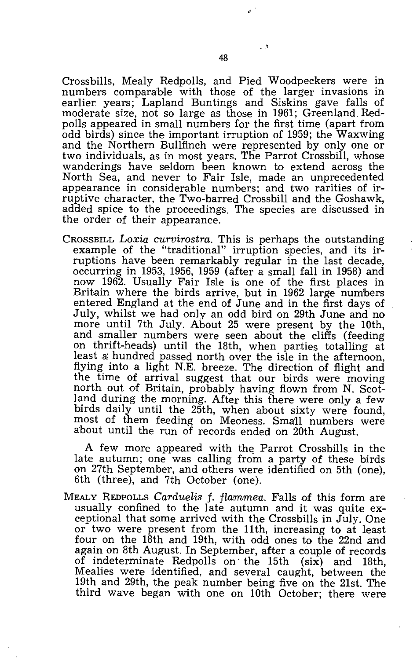Crossbills, Mealy Redpolls, and Pied Woodpeckers were in numbers comparable with those of the larger invasions in earlier years; Lapland Buntings and Siskins gave falls of moderate size, not so large as those in 1961; Greenland. Redpolls appeared in small numbers for the first time (apart from odd birds) since the important irruption of 1959; the Waxwing and the Northern Bullfinch were represented by only one or two individuals, as in most years. The Parrot Crossbill, whose wanderings have seldom been known to extend across the North Sea, and never to Fair Isle, made an unprecedented appearance in considerable numbers; and two rarities of irruptive character, the Two-barred Crossbill and the Goshawk, added spice to the proceedings. The species are discussed in the order of their appearance.

CROSSBILL *Loxia curvirostra.* This is perhaps the outstanding example of the "traditional" irruption species, and its irruptions have been remarkably regular in the last decade, occurring in 1953, 1956, 1959 (after a small fall in 1958) and now 1962. Usually Fair Isle is one of the first places in Britain where the birds arrive, but in 1962 large numbers entered England at the end of June and in the first days of July, whilst we had only an odd bird on 29th June and no more until 7th July. About 25 were present by the 10th, and smaller numbers were seen about the cliffs (feeding on thrift-heads) until the 18th, when parties totalling at least a: hundred passed north over the isle in the afternoon, flying into a light N.E. breeze. The direction of flight and the time of arrival suggest that our birds were moving north out of Britain, probably having flown from N. Scotland during the morning. After this there were only a few birds daily until the 25th, when about sixty were found, most of them feeding on Meoness. Small numbers were about until the run of records ended on 20th August.

A few more appeared with the Parrot Crossbills in the late autumn; one was calling from a party of these birds on 27th September, and others were identified on 5th (one), 6th (three), and 7th October (one).

MEALY REDPOLLS Carduelis f. flammea. Falls of this form are usually confined to the late autumn and it was quite exceptional that some arrived with the Crossbills in July. One or two were present from the 11th, increasing to at least four on the 18th and 19th, with odd ones to the 22nd and again on 8th August. In September, after a couple of records of indeterminate Redpolls on' the 15th (six) and 18th, Mealies were identified, and several caught, between the 19th and 29th, the peak number being five on the 21st. The third wave began with one on 10th October; there were

 $^{\circ}$ 

 $\mathcal{A}$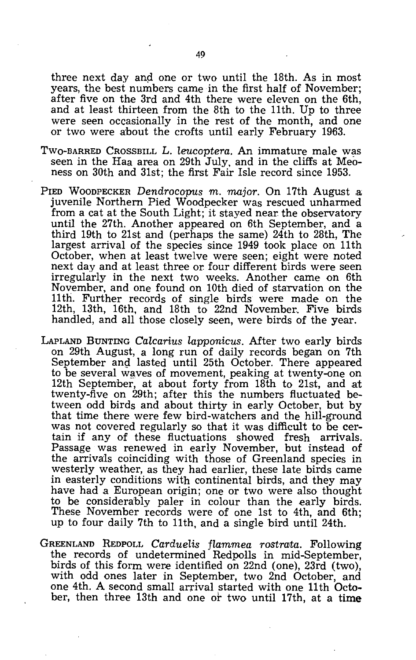three next day and one or two until the 18th. As in most years, the best numbers came in the first half of November; after five on the 3rd and 4th there were eleven on the 6th, and at least thirteen from the 8th to the 11th. Up to three were seen occasionally in the rest of the month, and one or two were about the crofts until early February 1963.

- TWO-BARRED CROSSBILL L. *leucoptera*. An immature male was seen in the Haa area on 29th July, and in the cliffs at Meoness on 30th and 31st; the first Fair Isle record since 1953.
- PIED WOODPECKER *Dendrocopus m. major.* On 17th August a juvenile Northern Pied Woodpecker was rescued unharmed from a cat at the South Light; it stayed near the observatory until the 27th. Another appeared on 6th September, and a third 19th to 21st and (perhaps the same)  $24$ th to 28th, The largest arrival of the species since 1949 took place on 11th October, when at least twelve were seen; eight were noted next day and at least three or. four different birds were seen irregularly in the next two weeks. Another came on 6th November, and one found on 10th died of starvation on the 11 th. Further records of single birds were made on the 12th, 13th, 16th, and 18th to 22nd November.. Five birds handled, and all those closely seen, were birds of the year.
- LAPLAND BUNTING *Cakarius lapponicus.* After two early birds on 29th August, a long run of daily records began on 7th September and lasted until 25th October. There appeared to be several waves of movement, peaking at twenty-one on 12th September, at about forty from 18th to 21st, and at twenty-five on 29th; after this the numbers fluctuated between odd birds and about thirty in early October, but by that time there were few bird-watchers and the hill-ground was not covered regularly so that it was difficult to be certain if any of these fluctuations showed fresh arrivals. Passage was renewed in early November, but instead of the arrivals coinciding with those of Greenland species in westerly weather, as they had earlier, these late birds came in easterly conditions with continental birds, and they may have had a European origin; one or two were also thought to be considerably paler in colour than the early birds. These November records were of one 1st to 4th, and 6th; up to four daily 7th to 11th, and a single bird until 24th.
- GREENLAND REDPOLL *Carduelis flammea rostrata.* Following the records of undetermined Redpolls in mid-September, birds of this form were identified on 22nd (one), 23rd (two), with odd ones later in September, two 2nd October, and one 4th. A second small arrival started with one 11th October, then three 13th and one or two until 17th, at a time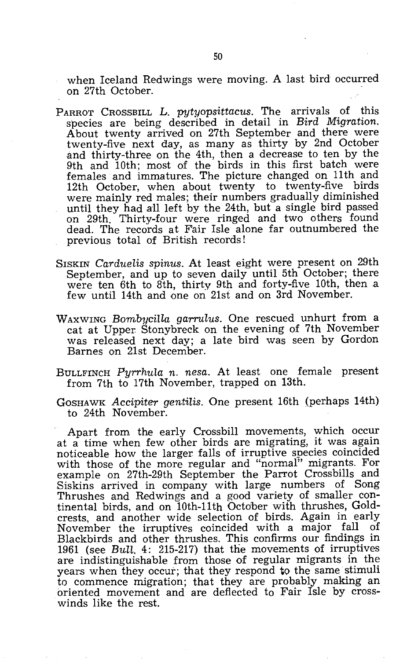when Iceland Redwings were moving. A last bird occurred on 27th October.

- PARROT CROSSBILL L. *pytyopsittacus.* The arrivals of this species are being described in detail in *Bird Migration.*  About twenty arrived on 27th September and there were twenty-five next day, as many as thirty by 2nd October and thirty-three on the 4th, then a decrease to ten by the 9th and 10th; most of the birds in this first batch were females and immatures. The picture changed on 11th and 12th October, when about twenty to twenty-five birds were mainly red males; their numbers gradually diminished until they had all left by the 24th, but a single bird passed on 29th. Thirty-four were ringed and two others found dead. The records at Fair Isle alone far outnumbered the previous total of British records!
- SISKIN *Carduelis spinus.* At least eight were present on 29th September, and up to seven daily until 5th October; there were ten 6th to 8th, thirty 9th and forty-five 10th, then a few until 14th and one on 21st and on 3rd November.
- WAXWING *Bombycilla garrulus.* One rescued unhurt from a cat at Upper. Stonybreck on the evening of 7th November was released next day; a late bird was seen by Gordon Barnes on 21st December.
- BULLFINCH *Pyrrhula n. nesa.* At least one female present from 7th to 17th November, trapped on 13th.
- GOSHAWK *Accipiter gentilis.* One present 16th (perhaps 14th) to 24th November.

Apart from the early Crossbill movements, which occur at a time when few other birds are migrating, it was again noticeable how the larger falls of irruptive species coincided with those of the more regular and "normal" migrants. For example on 27th-29th September the Parrot Crossbills and Siskins arrived in company with large numbers of Song Thrushes and Redwings and a good variety of smaller continental birds, and on 10th-11th October with thrushes, Goldcrests, and another wide selection of birds. Again in early November the irruptives coincided with a major fall of Blackbirds and other thrushes. This confirms our findings in 1961 (see *Bull.* 4: 215-217) that the movements of irruptives are indistinguishable from those of regular migrants in the years when they occur; that they respond to the same stimuli to commence migration; that they are probably making an oriented movement and are deflected to Fair Isle by crosswinds like the rest.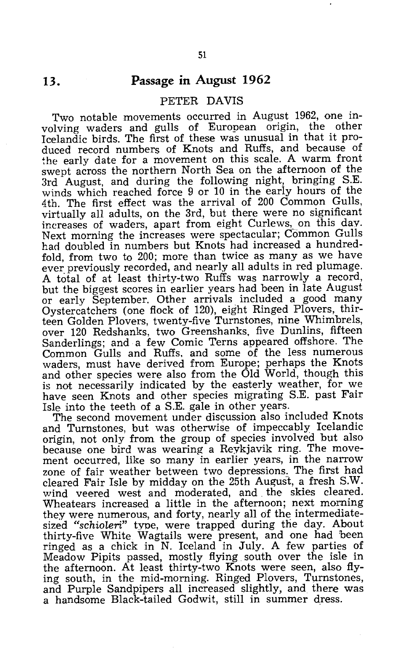#### **Passage in August 1962**

#### PETER DAVIS

Two notable movements occurred in August 1962, one involving waders and gulls of European origin, the other Icelandic birds. The first of these was unusual in that it produced record numbers of Knots and Ruffs, and because of the early date for a movement on this scale. A warm front swept across the northern North Sea on the afternoon of the 3rd August, and during the following night, bringing S.E. winds which reached force 9 or 10 in the early hours of the 4th. The first effect was the arrival of 200 Common Gulls, virtually all adults, on the 3rd, but there were no significant increases of waders, apart from eight Curlews, on this day. Next morning the increases were spectacular; Common Gulls had doubled in numbers but Knots had increased a hundredfold, from two to 200; more than twice as many as we have ever previously recorded, and nearly all adults in red plumage. A total of at least thirty-two Ruffs was narrowly a record, but the biggest scores in earlier years had been in late August or early September. Other arrivals included a good many Oystercatchers (one flock of 120), eight Ringed Plovers, thirteen Golden Plovers, twenty-five Turnstones, nine Whimbrels, over 120 Redshanks, two Greenshanks, five Dunlins, fifteen Sanderlings; and a few Comic Terns appeared offshore. The Common Gulls and Ruffs, and some of the less numerous waders, must have derived from Europe; perhaps the Knots and other species were also from the Old World, though this is not necessarily indicated by the easterly weather, for we have seen Knots and other species migrating S.E. past Fair Isle into the teeth of a S.E. gale in other years.

The second movement under discussion also included Knots and Turnstones, but was otherwise of impeccably Icelandic origin, not only from the group of species involved but also because one bird was wearing a Reykjavik ring. The movement occurred, like so many in earlier years, in the narrow zone of fair weather between two depressions. The first had cleared Fair Isle by midday on the 25th August, a fresh S.W. wind veered west and moderated, and. the skies cleared. Wheatears increased a little in the afternoon; next morning they were numerous, and forty, nearly all of the intermediatesized *"schioLeri"* type, were trapped during the day. About thirty-five White Wagtails were present, and one had been ringed as a chick in N. Iceland in July. A few parties of Meadow Pipits passed, mostly flying south over the isle in the afternoon. At least thirty-two Knots were seen, also flying south, in the mid-morning. Ringed Plovers, Turnstones, and Purple Sandpipers all increased slightly, and there was a handsome Black-tailed Godwit, still in summer dress.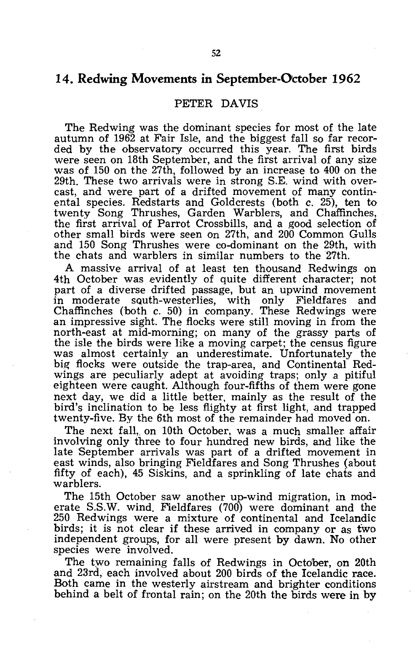#### **14. Redwing Movements in September-October 1962**

#### PETER DAVIS

The Redwing was the dominant species for most of the late autumn of 1962 at Fair Isle, and the biggest fall so far recorded by the observatory occurred this year. The first birds were seen on 18th September, and the first arrival of any size was of 150 on the 27th, followed by an increase to 400 on the 29th. These two arrivals were in strong S.E. wind with overcast, and were part of a drifted movement of many continental species. Redstarts and Goldcrests (both c. 25), ten to twenty Song Thrushes, Garden Warblers, and Chaffinches, the first arrival of Parrot Crossbills, and a good selection of other small birds were seen On 27th, and 200 Common Gulls and 150 Song Thrushes were co-dominant on the 29th, with the chats and warblers in similar numbers to the 27th.

A massive arrival of at least ten thousand Redwings on 4th October was evidently of quite different character; not part of a diverse drifted passage, but an upwind movement<br>in moderate south-westerlies, with only Fieldfares and in moderate squth-westerlies, Chaffinches (both c. 50) in company. These Redwings were an impressive sight. The flocks were still moving in from the north-east at mid-morning; on many of the grassy parts of the isle the birds were like a moving carpet; the census figure was almost certainly an underestimate. Unfortunately the big flocks were outside the trap-area, and Continental Redwings are peculiarly adept at avoiding traps; only a pitiful eighteen were caught. Although four-fifths of them were gone next day, we did a little better, mainly as the result of the bird's inclination to be less flighty at first light, and trapped twenty-five. By the 6th most of the remainder had moved on.

The next fall, on 10th October, was a much smaller affair involving only three to four hundred new birds, and like the late September arrivals was part of a drifted movement in east winds, also bringing Fieldfares and Song Thrushes (about fifty of each), 45 Siskins, and a sprinkling of late chats and warblers.

The 15th October saw another up-wind migration, in moderate S.S.W. wind. Fieldfares (700) were dominant and the 250 Redwings were a mixture of continental and Icelandic birds; it is not clear if these arrived in company or as two independent groups, for all were present by dawn. No other species were involved.

The two remaining falls of Redwings in October, on 20th and 23rd, each involved about 200 birds of the Icelandic race. Both came in the westerly airstream and brighter conditions behind a belt of frontal rain; on the 20th the birds were in by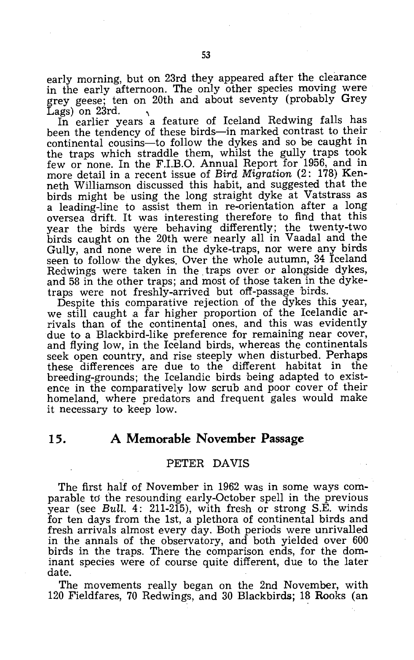early morning, but on 23rd they appeared after the clearance in the early afternoon. The only other species moving were grey geese; ten on 20th and about seventy (probably Grey Lags) on 23rd.

In earlier years a feature of Iceland Redwing falls has been the tendency of these birds-in marked contrast to their continental cousins-to follow the dykes and so be caught in the traps which straddle them, whilst the gully traps took few or none. In the F.I.B.O. Annual Report for 1956, and in more detail in a recent issue of *Bird Migration* (2: 178) Kenneth Williamson discussed this habit, and suggested that the birds might be using the long straight dyke at Vatstrass as a leading-line to assist them in re-orientation after a long oversea drift. It was interesting therefore to find that this year the birds were behaving differently; the twenty-two birds caught on the 20th were nearly all in Vaadal and the Gully, and none were in the dyke-traps, nor were any birds seen to follow the dykes. Over the whole autumn, 34 Iceland Redwings were taken in the. traps over or alongside dykes, and 58 in the other traps; and most of those taken in the dyketraps were not freshly-arrived but off-passage birds.

Despite this comparative rejection of the dykes this year, we still caught a far higher proportion of the Icelandic arrivals than of the continental ones, and this was evidently due to a Blackbird-like preference for remaining near cover, and flying low, in the Iceland birds, whereas the continentals seek open country, and rise steeply when disturbed. Perhaps these differences are due to the different habitat in the breeding-grounds; the Icelandic birds being adapted to existence in the comparatively low scrub and poor cover of their homeland, where predators and frequent gales would make it necessary to keep low.

#### **15. A Memorable November Passage**

#### PETER DAVIS

The first half of November in 1962 was in some ways comparable to the resounding early-October spell in the previous year (see Bull. 4: 211-215), with fresh or strong S.E. winds for ten days from the 1st, a plethora of continental birds and fresh arrivals almost every day. Both periods were unrivalled in the annals of the observatory, and both yielded over 600 birds in the traps. There the comparison ends, for the dominant species were of course quite different, due to the later date.

The movements really began on the 2nd November, with 120 Fieldfares, 70 Redwings, and 30 Blackbirds; 18 Rooks (an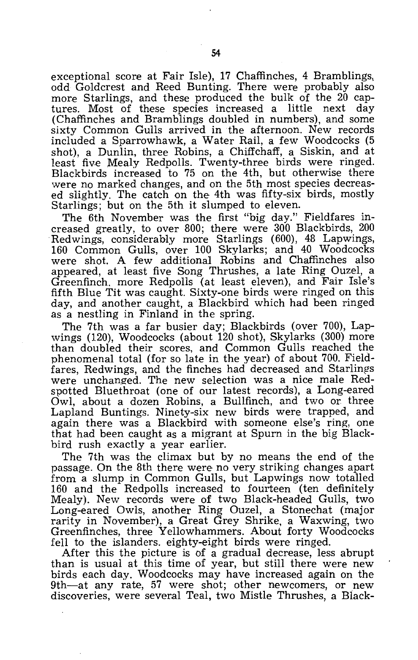exceptional score at Fair Isle), 17 Chaffinches, 4 Bramblings, odd Goldcrest and Reed Bunting. There were probably also more Starlings, and these produced the bulk of the 20 captures. Most of these species increased a little next day (Chaffinches and Bramblings doubled in numbers), and some sixty Common Gulls arrived in the afternoon. New records included a Sparrowhawk, a Water Rail, a few Woodcocks (5 shot), a Dunlin, three Robins, a Chiffchaff, a Siskin, and at least five Mealy Redpolls. Twenty-three birds were ringed. Blackbirds increased to 75 on the 4th, but otherwise there were no marked changes, and on the 5th most species decreased slightly. The catch on the 4th was fifty-six birds, mostly Starlings; but on the 5th it slumped to eleven.

The 6th November was the first "big day." Fieldfares increased greatly, to over 800; there were 300 Blackbirds, 200 Redwings, considerably more Starlings (600), 48 Lapwings, 160 Common Gulls, over 100 Skylarks; and 40 Woodcocks were shot. A few additional Robins and Chaffinches also appeared, at least five Song Thrushes, a late Ring Ouzel, a Greenfinch. more Redpolls (at least eleven), and Fair Isle's fifth Blue Tit was caught. Sixty-one birds were ringed on this day, and another caught, a Blackbird which had been ringed as a nestling in Finland in the spring.

The 7th was a far busier day; Blackbirds (over 700), Lapwings (120), Woodcocks (about 120 shot), Skylarks (300) more than doubled their scores, and Common Gulls reached the phenomenal total (for so late in the year) of about 700. Fieldfares, Redwings, and the finches had decreased and Starlings were unchanged. The new selection was a nice male Redspotted Bluethroat (one of our latest records), a Long-eared  $\hbox{Owl},$  about a dozen Robins, a Bullfinch, and two or three Lapland Buntings. Ninety-six new birds were trapped, and again there was a Blackbird with someone else's ring, one that had been caught as a migrant at Spurn in the big Blackbird rush exactly a year earlier.

The 7th was the climax but by no means the end of the passage. On the 8th there were no very striking changes apart from a slump in Common Gulls, but Lapwings now totalled 160 and the Redpolls increased to fourteen (ten definitely Mealy). New records were of two Black-headed Gulls, two Long-eared Owls, another Ring Ouzel, a Stonechat (major rarity in November), a Great Grey Shrike, a Waxwing, two Greenfinches, three Yellowhammers. About forty Woodcocks fell to the islanders. eighty-eight birds were ringed.

After this the picture is of a gradual decrease, less abrupt than is usual at this time of year, but still there were new birds each day . Woodcocks may have increased again on the 9th-at any rate, 57 were shot; other newcomers, or new discoveries, were several Teal, two Mistle Thrushes, a BIack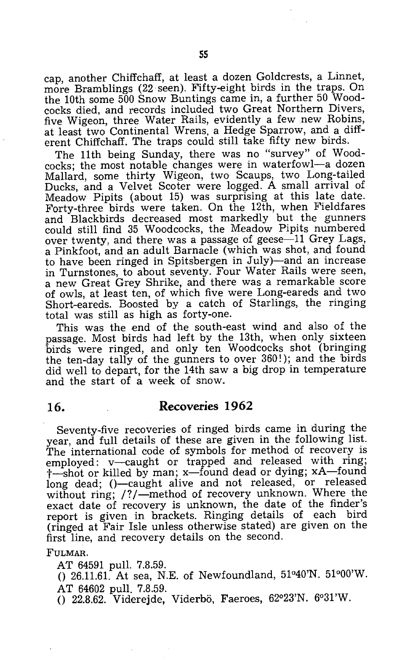cap, another Chiffchaff, at least a dozen Goldcrests, a Linnet, more Bramblings (22 seen). Fifty-eight birds in the traps. On the 10th some 500 Snow Buntings came in, a further 50 Woodcocks died, and records included two Great Northern Divers, five Wigeon, three Water Rails, evidently a few new Robins, at least two Continental Wrens, a Hedge Sparrow, and a different Chiffchaff. The traps could still take fifty new birds.

The 11th being Sunday, there was no "survey" of Woodcocks; the most notable changes were in waterfowl-a dozen Mallard, some thirty Wigeon, two Scaups, two Long-tailed Ducks, and a Velvet Scoter were logged. A small arrival of Meadow Pipits (about 15) was surprising at this late date. Forty-three birds were taken. On the 12th, when Fieldfares and Blackbirds decreased most markedly but the gunners could still find 35 Woodcocks, the Meadow Pipits numbered over twenty, and there was a passage of geese $-11$  Grey Lags, a Pinkfoot, and an adult Barnacle (which was shot, and found to have been ringed in Spitsbergen in July)-and an increase in Turnstones, to about seventy. Four Water Rails were seen, a new Great Grey Shrike, and there was a remarkable score of owls, at least ten, of which five were Long-eareds and two Short-eareds. Boosted by a catch of Starlings, the ringing total was still as high as forty-one.

This was the end of the south-east wind and also of the passage. Most birds had left by the 13th, when only sixteen birds were ringed, and only ten Woodcocks shot (bringing the ten-day tally of the gunners to over 360!); and the birds did well to depart, for the 14th saw a big drop in temperature and the start of a week of snow.

#### **16. Recoveries 1962**

Seventy-five recoveries of ringed birds came in during the year, and full details of these are given in the following list. The international code of symbols for method of recovery is employed: v-caught or trapped and released with ring; t-shot or killed by man; x-found dead or dying; xA-found long dead; ()-caught alive and not released, or released without ring; /?/--method of recovery unknown. Where the exact date of recovery is unknown, the date of the finder's report is given in brackets. Ringing details of each bird (ringed at Fair Isle unless otherwise stated) are given on the first line, and recovery details on the second.

#### fuLMAR.

AT 64591 pull. 7.8.59.

()  $26.11.61$ . At sea, N.E. of Newfoundland,  $51^{\circ}40^{\prime}$ N.  $51^{\circ}00^{\prime}$ W. AT 64602 pull. 7.8.59.

() 22.8.62. Viderejde, Viderbö, Faeroes, 62°23'N. 6°31'W.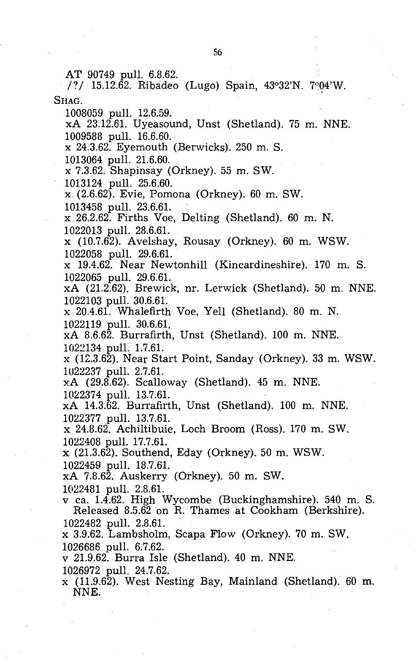AT 90749 pull. 6.8.62.

/?/ 15.12.62. Ribadeo (Lugo) Spain, 43°32'N. 7°04'W. SHAG.

1008059 pull. 12.6.59.

xA 23.12.61. Uyeasound, Unst (Shetland). 75 m. NNE. 1009588 pull. 16.6.60.

x 24.3.62. Eyemouth (Berwicks). 250 m. S.

1013064 pull. 21.6.60.

x 7.3.62. Shapinsay (Orkney). 55 m. SW.

1013124 pull. 25.6.60.

x (2.6.62). Evie, Pomona (Orkney). 60 m. SW. 1013458 pull. 23.6.61.

x 26.2.62. Firths Voe, Delting (Shetland). 60 m. N. 1022013 pull. 28.6.61.

 $x$  (10.7.62). Avelshay, Rousay (Orkney). 60 m. WSW. 1022058 pull. 29.6.61.

x 19.4.62. Near Newtonhill (Kincardineshire). 170 m. S. 1022065 pull. 29.6.61.

xA (21.2.62). Brewick, nr. Lerwick (Shetland). 50 m. NNE. 1022103 pull. 30.6.61.

x 20.4.61. Whalefirth Voe, Yell (Shetland). 80 m. N. 1022119 pull. 30.6.61.

xA 8.6.62. Burrafirth, Unst (Shetland). 100 m. NNE. 1022134 pull. 1.7.61.

x (12.3.62). Near Start Point, Sanday (Orkney). 33 m. WSW. 1u22237 pull. 2.7.61.

 $xA$  (29.8.62). Scalloway (Shetland). 45 m. NNE.

1022374 pull. 13.7.6l.

xA 14.3.62. Burrafirth, Unst (Shetland). 100 m. NNE. 1022377 pull. 13.7.6l.

x 24.8.62. Achiltibuie, Loch Broom (Ross). 170 m. SW. 1022408 pull. 17.7.61.

 $x$  (21.3.62). Southend, Eday (Orkney). 50 m. WSW.

1022459 pull. 18.7.6l.

xA 7.8.62. Auskerry (Orkney). 50 m. SW.

1022481 pull. 2.8.61.

v ca. 1.4.62. High Wycombe (Buckinghamshire). 540 m. S. Released 8.5.62 on R. Thames at Cookham (Berkshire). 1022482 pull. 2.8.61.

x 3.9.62. Lambsholm, Scapa Flow (Orkney). 70 m. SW. 1026686 pull. 6.7.62.

v 21.9.62. Burra Isle (Shetland). 40 m. NNE.

1026972 pull. 24.7.62.

x (11.9.62). West Nesting Bay, Mainland (Shetland). 60 m. NNE.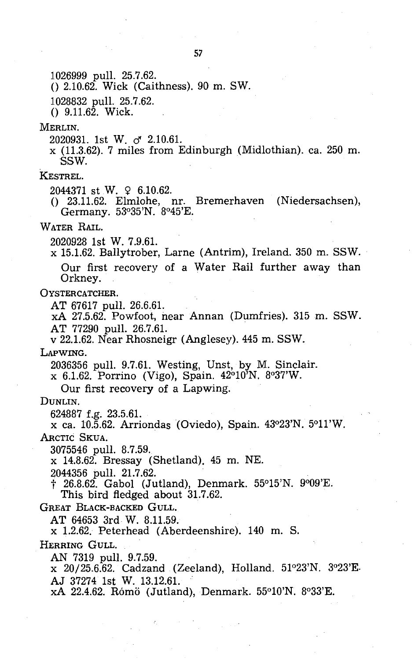1026999 pull. 25.7.62.

o 2.10.62. Wick (Caithness). 90 m. SW.

1028832 pull. 25.7.62.

 $()$  9.11.62. Wick.

MERLIN.

2020931. 1st W. d' *2.10.61.* 

x (11.3.62). 7 miles from Edinburgh (Midlothian). ca. 250 m. SSW.

KESTREL.

2044371 st W. 9 6.10.62.

o 23.11.62. Elmlohe, nr. Bremerhaven (Niedersachsen), Germany. 53°35'N. 8°45'E.

WATER RAIL.

2020928 1st W. 7.9.61.

x 15.1.62. Ballytrober, Larne (Antrim), Ireland. 350 m. SSW. Our first recovery of a Water Rail further away than Orkney.

OYSTERCATCHER.

AT 67617 pull. 26.6.61.

xA 27.5.62. Powfoot, near Annan (Dumfries). 315 m. SSW. AT 77290 pull. 26.7.61.

v 22.1.62. Near Rhosneigr (Anglesey). 445 m. SSW.

LAPWING.

 $2036356$  pull.  $9.7.61$ . Westing, Unst, by M. Sinclair.

x 6.1.62. Porrino (Vigo), Spain. 42°10'N. 8°37'W.

Our first recovery of a Lapwing.

DUNLIN.

624887 f.g. 23.5.61.

x ca. 10.5.62. Arriondas(Oviedo), Spain. 43°23'N. 5°11'W. ARCTIC SKUA.

3075546 pull. 8.7.59.

x 14.8.62. Bressay (Shetland). 45 m. NE.

2044356 pull. 21.7.62.

t 26.8.62. Gabol (Jutland), Denmark. 55°15'N. 9°09'E. This bird fledged about 31.7.62.

GREAT BLACK-BACKED GULL.

AT 64653 3rd W. 8.11.59.

x 1.2.62. Peterhead (Aberdeenshire). 140 m. S.

HERRING GULL.

AN 7319 pull. 9.7.59.

x 20/25.6.62. Cadzand (Zeeland), Holland. 51°23'N. 3°23'E. AJ 37274 1st W. 13.12.61.

xA 22.4.62. Rómö (Jutland), Denmark. 55°10'N. 8°33'E.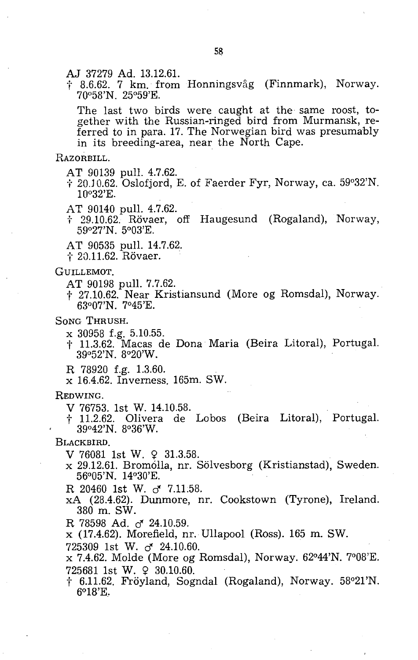AJ 37279 Ad. 13.12.61.

† 8.6.62. 7 km. from Honningsvåg (Finnmark), Norway. 700 58'N. 25°59'E.

The last two birds were caught at the same roost, together with the Russian-ringed bird from Murmansk, referred to in para. 17. The Norwegian bird was presumably in its breeding-area, near the North Cape.

#### RAZORBILL.

- AT 90139 pull. 4.7.62.<br>† 20.10.62. Oslofjord, E. of Faerder Fyr, Norway, ca. 59°32'N.  $10°32'E.$
- AT 90140 pull. 4.7.62.
- t 29.10.62. R6vaer, off Haugesund (Rogaland), Norway, 59°27'N. 5°03'E.
- AT 90535 pull. 14.7.62.<br>† 20.11.62. Rövaer.
- 

#### GUILLEMOT.

- AT 90198 pull. 7.7.62.
- t 27.10.62. Near Kristiansund (More og Romsdal), Norway. 63°07'N. 7°45'E.

#### SONG THRUSH.

- X 30958 f.g. 5.10.55.
- t 11.3.62. Macas de Dona Maria (Beira Litoral), Portugal. 39°52'N. 8°20'W.
- R 78920 f.g. 1.3.60.
- x 16.4.62. Inverness. 165m. SW.

#### REDWING.

- V 76753. 1st W. 14.10.58.
- t 11.2.62. Olivera de Lobos (Beira Litoral), Portugal. 39°42'N. 8°36'W.

#### BLACKBIRD.

- $V$  76081 1st W.  $9$  31.3.58.
- x 29.12.61. Bromólla, nr. Sölvesborg (Kristianstad), Sweden. 56°05'N. 14°30'E.
- R 20460 1st W. cf *7.11.58.*
- xA (28.4.62). Dunmore, nr. Cookstown (Tyrone), Ireland. 380 m. SW.
- R 78598 Ad. cf *24.10.59.*
- x (17.4.62). Morefield, nr. Ullapool (Ross). 165 m. SW.
- 725309 1st W. cf *24.10.60.*

x 7.4.62. Molde (More og Romsdal), Norway. 62°44'N. 7°08'E.  $725681$  1st W.  $930.10.60$ .

 $\ddagger$  6.11.62. Fröyland, Sogndal (Rogaland), Norway. 58 $^{\circ}21'N$ . 6°1S'E.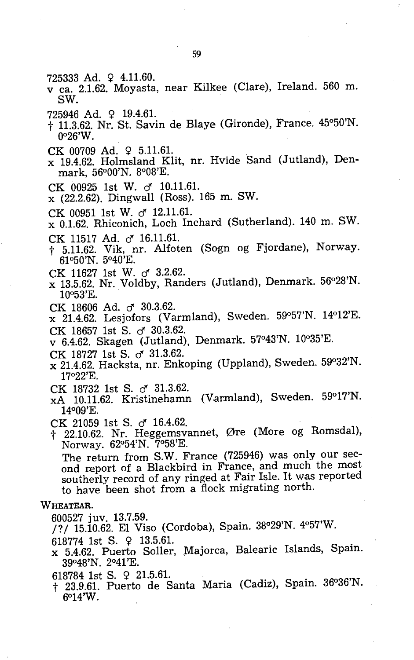- $725333$  Ad.  $9$  4.11.60.
- v ca. 2.1.62. Moyasta, near Kilkee (Clare), Ireland. 560 m. SW.
- 725946 Ad. 9 19.4.61.
- of 11.3.62. Nr. St. Savin de Blaye (Gironde), France. 45°50'N.  $0°26'W$ .
- CK 00709 Ad.  $\Omega$  5.11.61.
- x 19.4.62. Holmsland Klit, nr. Hvide Sand (Jutland), Denmark, 56°00'N. 8°08'E.
- CK 00925 1st W. cf *10.11.61.*
- x (22.2.62). DingwaIl (Ross). 165 m. SW.
- CK 00951 1st W. cf *12.11.61.*
- x 0.1.62. Rhiconich, Loch Inchard (Sutherland). 140 m. SW.
- CK 11517 Ad. d' *16.11.61.*
- $\dagger$  5.11.62. Vik, nr. Alfoten (Sogn og Fjordane), Norway. 61°50'N. 5°40'E.
- CK 11627 1st W. d' *3.2.62.*
- x 13.5.62. Nr. Voldby, Randers (Jutland), Denmark. 56°28'N. 10053'E. .
- CK 18606 Ad. d' *30.3.62.*
- x 21.4.62. Lesjofors (Varmland), Sweden. 59°57'N. 14°12'E.
- CK 18657 1st S. cf *30.3.62.*
- v 6.4.62. Skagen (Jutland), Denmark. 57°43'N. 10035'E.
- CK 18727 1st S. cf *31.3.62.*
- x 21.4.62. Hacksta, nr. Enkoping (Uppland), Sweden. 59°32'N. 17°22'E.
- CK 18732 1st S. d' *31.3.62.*
- xA 10.11.62. Kristinehamn (Varmland), Sweden. 59°17'N. 14°09'E.
- CK 21059 1st S. cf *16.4.62.*
- of 22.10.62. Nr. Heggemsvannet, 0re (More og Romsdal), Norway. 62°54'N. 7°58'E.

The return from S.W. France (725946) was only our second report of a Blackbird in France, and much the most southerly record of any ringed at Fair Isle. It was reported to have been shot from a flock migrating north.

#### WHEATEAR.

600527 juv. 13.7.59.

- /? / 15.10.62. El Viso (Cordoba), Spain. 38°29'N. 4°57'W.
- 618774 1st S. 9 13.5.61.
- x 5.4.62. Puerto Soller, Majorca, Balearic Islands, Spain. 39°48'N. 2°41'E.
- 618784 1st S.  $\varphi$  21.5.61.
- of 23.9.61. Puerto de Santa Maria (Cadiz), Spain. 36°36'N. 6°14'W.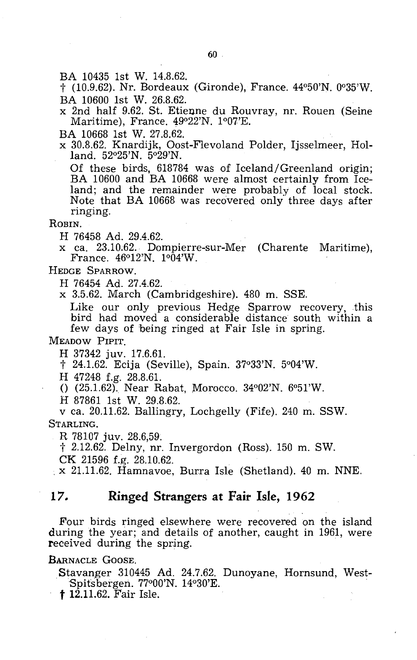BA 10435 1st W. 14.8.62.

t (10.9.62). Nr. Bordeaux (Gironde), France. 44°50'N. 0035'W. BA 10600 1st W. 26.8.62.

x 2nd half 9.62. St. Etienne du Rouvray, nr. Rouen (Seine Maritime), France. 49°22'N. 1°07'E.

BA 10668 1st W. 27.8.62.

x 30.8.62. Knardijk, Oost-Flevoland Polder, Ijsselmeer, Holland. 52°25'N. 5°29'N.

Of these birds, 618784 was of Iceland/Greenland origin; BA 10600 and BA 10668 were almost certainly from Iceland; and the remainder were probably of local stock. Note that BA 10668 was recovered only three days after ringing.

ROBIN.

H 76458 Ad. 29.4.62.

x ca. 23.10;62. Dompierre-sur-Mer (Charente Maritime), France. 46°12'N. 1°04'W.

HEDGE SPARROW.

H 76454 Ad. 27.4.62.

x 3.5.62. March (Cambridgeshire). 480 m. SSE.

Like our only previous Hedge Sparrow recovery, this bird had moved a considerable distance south within a few days of being ringed at Fair Isle in spring.

MEADOW PIPIT.

H 37342 juv. 17.6.61.

t 24.1.62. Ecija (Seville), Spain. 37°33'N. 5°04'W.

H 47248 f.g. 28.8.61.

()  $(25.1.62)$ . Near Rabat, Morocco. 34°02'N. 6°51'W.

H 87861 1st W. 29.8.62.

v ca. 20.11.62. Ballingry, Lochgelly (Fife). 240 m. SSW. STARLING.

R 78107 juv. 28.6,59.

t 2.12.62. Delny, nr. Invergordon (Ross). 150 m. SW.

 $\times$  21.11.62. Hamnavoe, Burra Isle (Shetland). 40 m. NNE.

#### **17. Ringed Strangers at Fair Isle, 1962**

Four birds ringed elsewhere were recovered on the island during the year; and details of another, caught in 1961, were received during the spring.

BARNACLE GOOSE.

Stavanger 310445 Ad. 24.7.62. Dunoyane, Hornsund, West-Spitsbergen. 77°00'N. 14°30'E.

t 12.11.62. Fair Isle.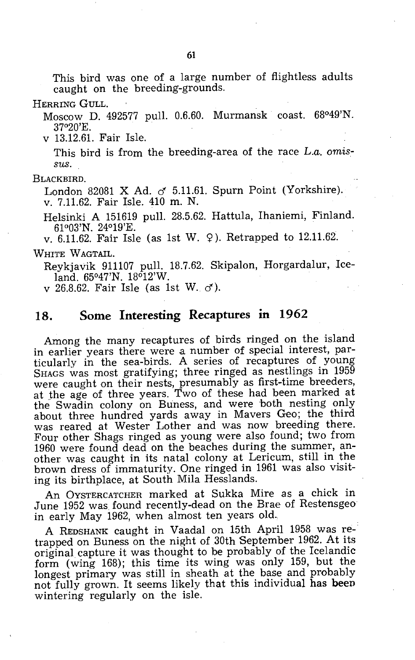This bird was one of a large number of flightless adults caught on the breeding-grounds.

HERRING GULL.

Moscow D. 492577 pull. 0.6.60. Murmansk coast. 68°49'N. 37°20'E. .

v 13.12.61. Fair Isle.

This bird is from the breeding-area of the race *L.a. omissus.* 

BLACKBIRD.

London 82081 X Ad.  $\sigma$  5.11.61. Spurn Point (Yorkshire). v. 7.11.62. Fair Isle. 410 m. N.

Helsinki A 151619 pull. 28.5.62. Hattula, Ihaniemi, Finland. 61°03'N. 24°19'E.

v. 6.11.62. Fair Isle (as 1st W.  $9$ ). Retrapped to 12.11.62.

WHITE WAGTAIL.

Reykjavik 911107 pull. 18.7.62. Skipalon, Horgardalur, Iceland. 65°47'N. 18°12'W.

v 26.8.62. Fair Isle (as 1st W.  $\sigma$ ).

#### **18. Some Interesting Recaptures In 1962**

Among the many recaptures of birds ringed on the island in earlier years there were a number of special interest, particularly in the sea-birds. A series of recaptures of young SHAGS was most gratifying; three ringed as nestlings in 1959 were caught on their nests, presumably as first-time breeders, at the age of three years. Two of these had been marked at the Swadin colony on Buness, and were both nesting only about three hundred yards away in Mavers Geo; the third was reared at Wester Lother and was now breeding there. Four other Shags ringed as young were also found; two from 1960 were found dead on the beaches during the summer, another was caught in its natal colony at Lericum, still in the brown dress of immaturity. One ringed in 1961 was also visiting its birthplace, at South Mila Hesslands.

An OYSTERCATCHER marked at Sukka Mire as a chick in June 1952 was found recently-dead on the Brae of Restensgeo in early May 1962, when almost ten years old.

A REDSHANK caught in Vaadal on 15th April 1958 was retrapped on Buness on the night of 30th September 1962. At its original capture it was thought to be probably of the Icelandic form (wing 168); this time its wing was only 159, but the longest primary was still in sheath at the base and probably not fully grown. It seems likely that this individual has beep wintering regularly on the isle.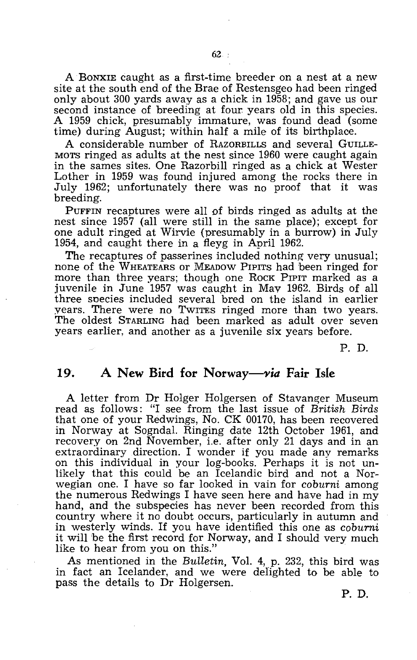A BONXIE caught as a first-time breeder on a nest at a new site at the south end of the Brae of Restensgeo had been ringed only about 300 yards away as a chick in 1958; and gave us our second instance of breeding at four years old in this species. A 1959 chick, presumably immature, was found dead (some time) during August; within half a mile of its birthplace.

A considerable number of RAZORBILLS and several GUILLE-MOTS ringed as adults at the nest since 1960 were caught again in the sames sites. One Razorbill ringed as a chick at Wester Lother in 1959 was found injured among the rocks there in July 1962; unfortunately there was no proof that it was breeding.

PUFFIN recaptures were all of birds ringed as adults at the nest since 1957 (all were still in the same place); except for one adult ringed at Wirvie (presumably in a burrow) in July 1954, and caught there in a fleyg in April 1962.

The recaptures of passerines included nothing very unusual; none of the WHEATEARS or MEADOW PIPITS had been ringed for more than three years; though one ROCK PIPIT marked as a juvenile in June 1957 was caught in May 1962. Birds of all three species included several bred on the island in earlier years. There were no TwITES ringed more than two years. The oldest STARLING had been marked as adult over seven years earlier, and another as a juvenile six years before.

P. D.

#### **19. A New Bird for Norway-via Fair Isle**

A letter from Dr Holger Holgersen of Stavanger Museum read as follows: "I see from the last issue of *British Birds*  that one of your Redwings, No. CK 00170, has been recovered in Norway at Sogndal. Ringing date 12th October 1961, and recovery on 2nd November, i.e. after only 21 days and in an extraordinary direction. I wonder if you made any remarks on this individual in your log-books. Perhaps it is not unlikely that this could be an Icelandic bird and not a Norwegian one. I have so far looked in vain for *coburni* among the numerous Redwings I have seen here and have had in my hand, and the subspecies has never been recorded from this country where it no doubt occurs, particularly in autumn and in westerly winds. If you have identified this one as *coburni*  it will be the first record for Norway, and I should very much like to hear from you on this."

As mentioned in the *Bulletin,* Vol. 4, p. 232, this bird was in fact an Icelander, and we were defighted to be able to pass the details to Dr Holgersen.

P. D.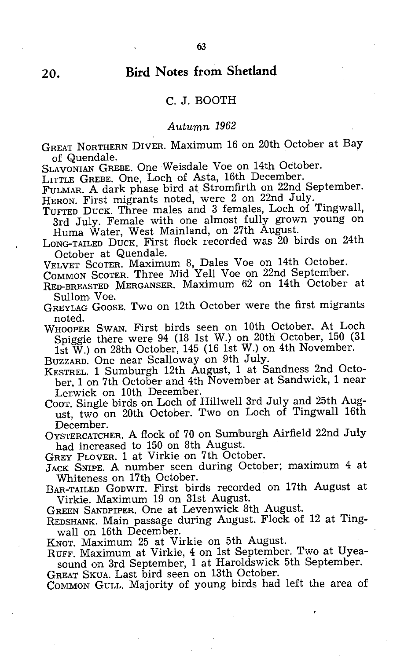#### **20. Bird Notes from Shetland**

#### C. J. BOOTH

#### Autumn 1962

GREAT NORTHERN DIVER. Maximum 16 on 20th October at Bay of Quendale.

SLAVONIAN GREBE. One Weisdale Voe on 14th October.

LITTLE GREBE. One, Loch of Asta, 16th December.

FULMAR. A dark phase bird at Stromfirth on 22nd September. HERON. First migrants noted, were 2 on 22nd July.

TUFTED DUCK. Three males and 3 females, Loch of Tingwall, 3rd July. Female with one almost fully grown young on Huma Water, West Mainland, on 27th August.

LONG-TAILED DUCK. First flock recorded was 20 birds on 24th October at Quendale.

VELVET SCOTER. Maximum 8, Dales Voe on 14th October.

COMMON SCOTER. Three Mid Yell Voe on 22nd September.

RED-BREASTED MERGANSER. Maximum 62 on 14th October at Sullom Voe.

GREYLAG GOOSE. Two on 12th October were the first migrants noted.

WHOOPER SWAN. First birds seen on 10th October. At Loch Spiggie there were 94 (18 1st W.) on 20th October, 150 (31 1st  $\breve{\text{W}}$ .) on 28th October, 145 (16 1st W.) on 4th November.

BUZZARD. One near Scalloway on 9th July.

KESTREL. 1 Sumburgh 12th August, 1 at Sandness 2nd October, 1 on 7th October and 4th November at Sandwick, 1 near Lerwick on 10th December.

Coor. Single birds on Loch of Hillwell 3rd July and 25th August, two on 20th October. Two on Loch of Tingwall 16th December.

OYSTERCATCHER. A flock of 70 on Sumburgh Airfield 22nd July had increased to 150 on 8th August.

GREY PLOVER. 1 at Virkie on 7th October.

JACK SNIPE. A number seen during October; maximum 4 at Whiteness on 17th October.

BAR-TAILED GODWIT. First birds recorded on 17th August at Virkie. Maximum 19 On 31st August.

GREEN SANDPIPER. One at Levenwick 8th August.

REDSHANK. Main passage during August. Flock of 12 at Tingwall on 16th December.

KNOT. Maximum 25 at Virkie on 5th August.

RUFF. Maximum at Virkie, 4 on 1st September. Two at Uyeasound on 3rd September, 1 at Haroldswick 5th September.

GREAT SKUA. Last bird seen on 13th October.

COMMON GULL. Majority of young birds had left the area of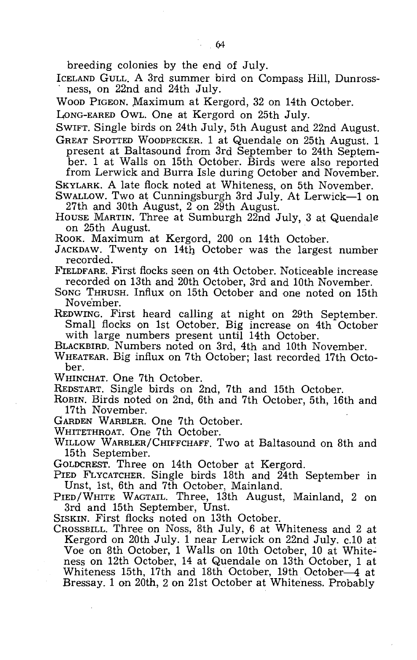breeding colonies by the end of July.

ICELAND GULL. A 3rd summer bird on Compass Hill, Dunross-<br>ness, on 22nd and 24th July.

WOOD PIGEON. Maximum at Kergord, 32 on 14th October.

LONG-EARED OWL. One at Kergord on 25th July.

SWIFT. Single birds on 24th July, 5th August and 22nd August.

GREAT SPOTTED WOODPECKER. 1 at Quendale on 25th August. 1 present at Baltasound from 3rd September to 24th September. 1 at Walls on 15th October. Birds were also reported from Lerwick and Burra Isle during October and November.

SKYLARK. A late flock noted at Whiteness, on 5th November.

SWALLOW. Two at Cunningsburgh 3rd July. At Lerwick-1 on 27th and 30th August,  $2$  on  $29$ th August.

HOUSE MARTIN. Three at Sumburgh 22nd July, 3 at Quendale on 25th August.

ROOK. Maximum at Kergord, 200 on 14th October.

JACKDAW. Twenty on 14th October was the largest number recorded.

FIELDFARE. First flocks seen on 4th October. Noticeable increase recorded on 13th and 20th October, 3rd and 10th November.

SONG THRUSH. Influx on 15th October and one noted on 15th November.

REDWING. First heard calling at night on 29th September. Small flocks on 1st October. Big increase on 4th October

with large numbers present until 14th October. BLACKBIRD. Numbers noted on 3rd, 4th and 10th November.

WHEATEAR. Big influx on 7th October; last recorded 17th October.

WHINCHAT. One 7th October.

REDSTART. Single birds on 2nd, 7th and 15th October.

ROBIN. Birds noted on 2nd, 6th and 7th October, 5th, 16th and 17th November.

GARDEN WARBLER. One 7th October.

WHITETHROAT. One 7th October.

WILLOW WARBLER/CHIFFCHAFF. Two at Baltasound on 8th and 15th September.

GOLDCREST. Three on 14th October at Kergord.

PIED FLYCATCHER. Single birds 18th and 24th September in Unst, 1st, 6th and 7th October, Mainland.

PIED/WHITE WAGTAIL. Three, 13th August, Mainland, 2 on 3rd and 15th September, Unst.

SISKIN. First flocks noted on 13th October.

CROSSBILL. Three on Noss, 8th July, 6 at Whiteness and 2 at Kergord on 20th July. 1 near Lerwick on 22nd July. c.10 at Voe on 8th October, 1 Walls on 10th October, 10 at Whiteness on 12th October, 14 at Quendale on 13th October, 1 at Whiteness 15th, 17th and 18th October, 19th October-4 at Bressay. 1 on 20th, 2 on 21st October at Whiteness. Probably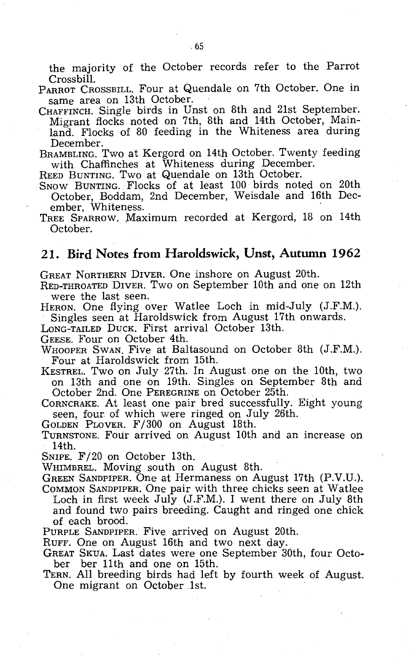the majority of the October records refer to the Parrot Crossbill.

PARROT CROSSBILL. Four at Quendale on 7th October. One in same area on 13th October.

CHAFFINCH. Single birds in Unst on 8th and 21st September. Migrant flocks noted on 7th, 8th and 14th October, Mainland. Flocks of 80 feeding in the Whiteness area during December.

BRAMBLING. Two at Kergord on 14th October. Twenty feeding with Chaffinches at Whiteness during December.

REED BUNTING. Two at Quendale on 13th October.

SNOW BUNTING. Flocks of at least 100 birds noted on 20th October, Boddam, 2nd December, Weisdale and 16th December, Whiteness.

TREE SPARROW. Maximum recorded at Kergord, 18 on 14th October.

#### **21. Bird Notes from Haroldswick, Unst, Autumn 1962**

GREAT NORTHERN DIVER. One inshore on August 20th.

RED-THROATED DIVER. Two on September 10th and one on 12th were the last seen.

HERON. One flying over Watlee Loch in mid-July (J.F.M.). Singles seen at Haroldswick from August 17th onwards.

LONG-TAILED DUCK. First arrival October 13th.

GEESE. Four on October 4th.

WHOOPER SWAN. Five at Baltasound on October 8th (J.F.M.). Four at Haroldswick from 15th.

KESTREL. Two on July 27th. In August one on the 10th, two on 13th and one on 19th. Singles on September 8th and October 2nd. One PEREGRINE on October 25th.

CORNCRAKE. At least one pair bred successfully. Eight young seen, four of which were ringed on July 26th.

GOLDEN PLOVER. F /300 on August 18th.

TURNSTONE. FOlir arrived on August 10th and an increase on 14th.

SNIPE. F/20 on October 13th.

WHIMBREL. Moving south on August 8th.

GREEN SANDPIPER. One at Hermaness on August 17th (P.V.U.). COMMON SANDPIPER. One pair with three chicks seen at Watlee

Loch in first week July (J.F.M.). I went there on July 8th and found two pairs breeding. Caught and ringed one chick of each brood.

PURPLE SANDPIPER. Five arrived on August 20th.

RUFF. One on August 16th and two next day.

GREAT SKUA. Last dates were one September 30th, four October ber 11th and one on 15th.

TERN. All breeding birds had left by fourth week of August. One migrant on October .1st.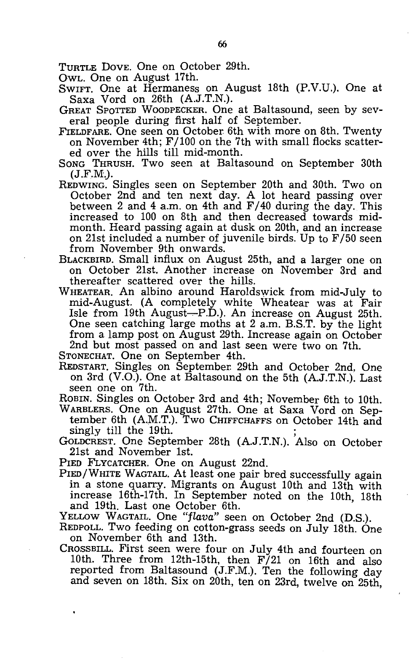TURTLE DOVE. One on October 29th.

OWL. One on August 17th.

- SWIFT. One at Hermaness on August 18th (P.V.U.). One at Saxa Vord on 26th (A.J.T.N.).
- GREAT SPOTTED WOODPECKER. One at Baltasound, seen by several people during first half of September.
- FrELDFARE. One seen on October. 6th with more on 8th. Twenty on November 4th; F /100 on the 7th with small flocks scattered over the hills till mid-month.
- SONG THRUSH. Two seen at Baltasound on September 30th  $(J.F.M.).$
- REDWING. Singles seen on September 20th and 30th. Two on October 2nd and ten next day. A lot heard passing over between 2 and 4 a.m. on 4th and F/40 during the day. This increased to 100 on 8th and then decreased towards midmonth. Heard passing again at dusk on 20th, and an increase on 21st included a number of juvenile birds. Up to F /50 seen from November 9th onwards.
- BLACKBIRD. Small influx on August 25th, and a larger one on on October 21st. Another increase on November 3rd and thereafter scattered over the hills.
- WHEATEAR. An albino around Haroldswick from mid-July to mid-August. (A completely white Wheatear was at Fair Isle from 19th August-P.D.). An increase on August 25th. One seen catching large moths at 2 a.m. B.S.T. by the light from a lamp post on August 29th. Increase again on October 2nd but most passed on and last seen were two on 7th. STONECHAT. One on September 4th.
- 
- REDSTART. Singles on September. 29th and October 2nd. One on 3rd (V.O.). One at Baltasound on the 5th (A.J.T.N.). Last seen one on 7th.
- ROBIN. Singles on October 3rd and 4th; November 6th to 10th.
- WARBLERS. One on August 27th. One at Saxa Vord on September 6th (A.M.T.). Two CHIFFCHAFFS on October 14th and singly till the 19th. singly till the 19th.  $\frac{1}{2}$   $\frac{1}{2}$   $\frac{1}{2}$   $\frac{1}{2}$   $\frac{1}{2}$   $\frac{1}{2}$   $\frac{1}{2}$   $\frac{1}{2}$   $\frac{1}{2}$   $\frac{1}{2}$   $\frac{1}{2}$   $\frac{1}{2}$   $\frac{1}{2}$   $\frac{1}{2}$   $\frac{1}{2}$   $\frac{1}{2}$   $\frac{1}{2}$   $\frac{1}{2}$   $\frac{1}{2}$   $\frac{1}{2}$
- GOLDCREST. One September 28th (A.J.T.N.). Also on October 21st and November 1st.

PIED FLYCATCHER. One on August 22nd.

- PIED/WHITE WAGTAIL. At least one pair bred successfully again in a stone quarry. Migrants on August 10th and 13th with increase 16th-17th. In September noted on the 10th, 18th and 19th. Last one October 6th.
- YELLOW WAGTAIL. One *"flava"* seen on October 2nd (D.S.).
- REDPOLL. Two feeding on cotton-grass seeds on July 18th. One on November 6th and 13th.
- CROSSBILL. First seen were four on July 4th and fourteen on 10th. Three from 12th-15th, then  $F/21$  on 16th and also reported from Baltasound (J.F.M.). Ten the following day and seven on 18th. Six on 20th, ten on 23rd, twelve on 25th,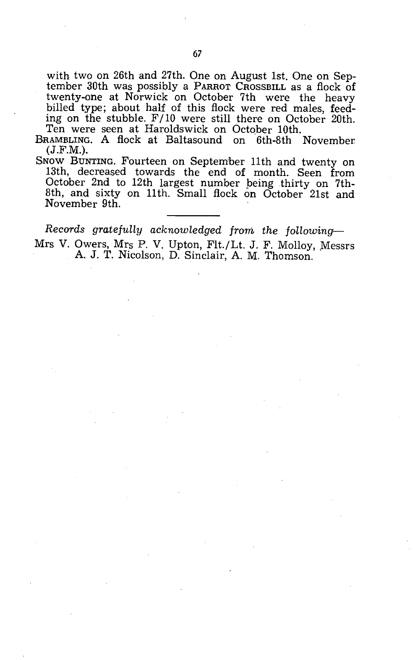with two on 26th and 27th. One on August 1st. One on September 30th was possibly a PARROT CROSSBILL as a flock of twenty-one at Norwick on October 7th were the heavy billed type; about half of this flock were red males, feeding on the stubble. F/10 were still there on October 20th. Ten were seen at Haroldswick on October 10th.

BRAMBLING. A flock at Baltasound on 6th-8th November (J.F.M.).

SNOW BUNTING. Fourteen on September 11th and twenty on 13th, decreased towards the end of month. Seen from October 2nd to 12th largest number peing thirty on 7th-8th, and sixty on 11th. Small flock on October 21st and November 9th.

*Records gratefully acknowledged from the following-*Mrs V. Owers, Mrs P. V. Upton, Flt./Lt. J. F. Molloy, Messrs A. J. T. Nicolson, D. Sinclair, A. M. Thomson.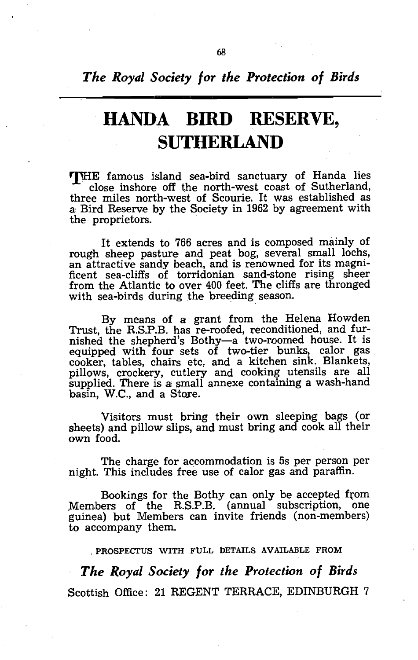*The Royal Society for the Protection of Birds* 

# **HANDA BIRD RESERVE, SUTHERLAND**

THE famous island sea-bird sanctuary of Handa lies close inshore off the north-west coast of Sutherland, three miles north-west of Scourie. It was established as .a Bird Reserve by the Society in 1962 by agreement with the proprietors.

It extends to 766 acres and is composed mainly of rough sheep pasture and peat bog, several small lochs, an attractive sandy beach, and is renowned for its magnificent sea-cliffs of torridonian sand-stone rising sheer from the Atlantic to over 400 feet. The cliffs are thronged with sea-birds during the breeding season.

By means of a: grant from the Helena Howden Trust, the R.S.P.B. has re-roofed, reconditioned, and furnished the shepherd's Bothy-a two-roomed house. It is equipped with four sets of two-tier bunks, calor gas cooker, tables, chairs etc, and a kitchen sink. Blankets, pillows, crockery, cutlery and cooking utensils are all supplied. There is a small annexe containing a wash-hand basin, W.C., and a Store.

Visitors must bring their own sleeping bags (or sheets) and pillow slips, and must bring and cook all their own food.

The charge for accommodation is 5s per person per night. This includes free use of calor gas and paraffin.

Bookings for the Bothy can only be accepted from Members of the R.S.P.B. (annual subscription, one guinea) but Members can invite friends (non-members) to accompany them.

,PROSPECTUS WITH FULL DETAILS AVAILABLE FROM

*The Royal Society for the Protection of Birds*  Scottish Office: 21 REGENT TERRACE, EDINBURGH 7